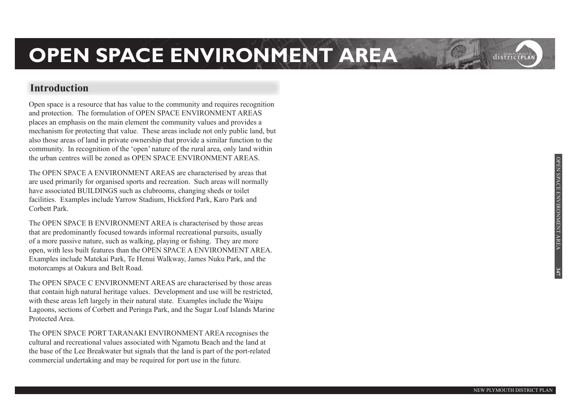#### **Introduction**

Open space is a resource that has value to the community and requires recognition and protection. The formulation of OPEN SPACE ENVIRONMENT AREAS places an emphasis on the main element the community values and provides a mechanism for protecting that value. These areas include not only public land, but also those areas of land in private ownership that provide a similar function to the community. In recognition of the 'open' nature of the rural area, only land within the urban centres will be zoned as OPEN SPACE ENVIRONMENT AREAS.

The OPEN SPACE A ENVIRONMENT AREAS are characterised by areas that are used primarily for organised sports and recreation. Such areas will normally have associated BUILDINGS such as clubrooms, changing sheds or toilet facilities. Examples include Yarrow Stadium, Hickford Park, Karo Park and Corbett Park.

The OPEN SPACE B ENVIRONMENT AREA is characterised by those areas that are predominantly focused towards informal recreational pursuits, usually of a more passive nature, such as walking, playing or fishing. They are more open, with less built features than the OPEN SPACE A ENVIRONMENT AREA. Examples include Matekai Park, Te Henui Walkway, James Nuku Park, and the motorcamps at Oakura and Belt Road.

The OPEN SPACE C ENVIRONMENT AREAS are characterised by those areas that contain high natural heritage values. Development and use will be restricted, with these areas left largely in their natural state. Examples include the Waipu Lagoons, sections of Corbett and Peringa Park, and the Sugar Loaf Islands Marine Protected Area.

The OPEN SPACE PORT TARANAKI ENVIRONMENT AREA recognises the cultural and recreational values associated with Ngamotu Beach and the land at the base of the Lee Breakwater but signals that the land is part of the port-related commercial undertaking and may be required for port use in the future.

**347**

districtPLA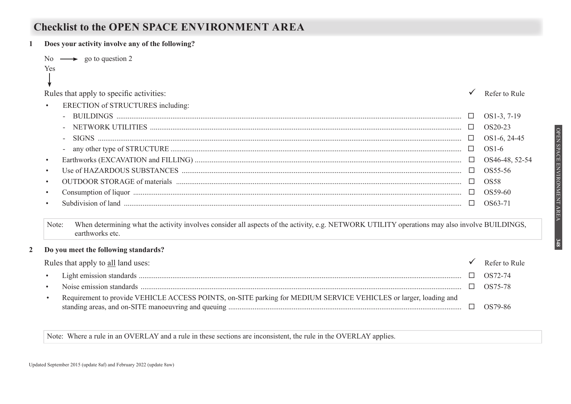#### **Checklist to the OPEN SPACE ENVIRONMENT AREA**

| Does your activity involve any of the following?                                                                                                                                                                                                                                                                                                                                                                                                                                         |        |                |
|------------------------------------------------------------------------------------------------------------------------------------------------------------------------------------------------------------------------------------------------------------------------------------------------------------------------------------------------------------------------------------------------------------------------------------------------------------------------------------------|--------|----------------|
| No $\longrightarrow$ go to question 2<br>Yes                                                                                                                                                                                                                                                                                                                                                                                                                                             |        |                |
| Rules that apply to specific activities:                                                                                                                                                                                                                                                                                                                                                                                                                                                 |        | Refer to Rule  |
| ERECTION of STRUCTURES including:                                                                                                                                                                                                                                                                                                                                                                                                                                                        |        |                |
|                                                                                                                                                                                                                                                                                                                                                                                                                                                                                          | $\Box$ | OS1-3, 7-19    |
|                                                                                                                                                                                                                                                                                                                                                                                                                                                                                          |        | OS20-23        |
| $\begin{minipage}[c]{0.9\linewidth} \textbf{SIGNS} \end{minipage}[1] \begin{minipage}[c]{0.9\linewidth} \textbf{GNS} \end{minipage}[1] \begin{minipage}[c]{0.9\linewidth} \textbf{GMS} \end{minipage}[1] \begin{minipage}[c]{0.9\linewidth} \textbf{GMS} \end{minipage}[1] \begin{minipage}[c]{0.9\linewidth} \textbf{GMS} \end{minipage}[1] \begin{minipage}[c]{0.9\linewidth} \textbf{GMS} \end{minipage}[1] \begin{minipage}[c]{0.9\linewidth} \textbf{GMS} \end{minipage}[1] \begin$ |        | OS1-6, 24-45   |
|                                                                                                                                                                                                                                                                                                                                                                                                                                                                                          | $\Box$ | $OS1-6$        |
| $\bullet$                                                                                                                                                                                                                                                                                                                                                                                                                                                                                | $\Box$ | OS46-48, 52-54 |
|                                                                                                                                                                                                                                                                                                                                                                                                                                                                                          |        | OS55-56        |
| $\bullet$                                                                                                                                                                                                                                                                                                                                                                                                                                                                                |        | <b>OS58</b>    |
|                                                                                                                                                                                                                                                                                                                                                                                                                                                                                          |        | OS59-60        |
| $\bullet$                                                                                                                                                                                                                                                                                                                                                                                                                                                                                |        | OS63-71        |
| When determining what the activity involves consider all aspects of the activity, e.g. NETWORK UTILITY operations may also involve BUILDINGS,<br>Note:<br>earthworks etc.                                                                                                                                                                                                                                                                                                                |        |                |
| Do you meet the following standards?                                                                                                                                                                                                                                                                                                                                                                                                                                                     |        |                |
| Rules that apply to all land uses:                                                                                                                                                                                                                                                                                                                                                                                                                                                       |        | Refer to Rule  |
| $\bullet$                                                                                                                                                                                                                                                                                                                                                                                                                                                                                |        | OS72-74        |
| $\bullet$                                                                                                                                                                                                                                                                                                                                                                                                                                                                                | $\Box$ | OS75-78        |
| Requirement to provide VEHICLE ACCESS POINTS, on-SITE parking for MEDIUM SERVICE VEHICLES or larger, loading and<br>$\bullet$                                                                                                                                                                                                                                                                                                                                                            | $\Box$ | OS79-86        |
|                                                                                                                                                                                                                                                                                                                                                                                                                                                                                          |        |                |

Note: Where a rule in an OVERLAY and a rule in these sections are inconsistent, the rule in the OVERLAY applies.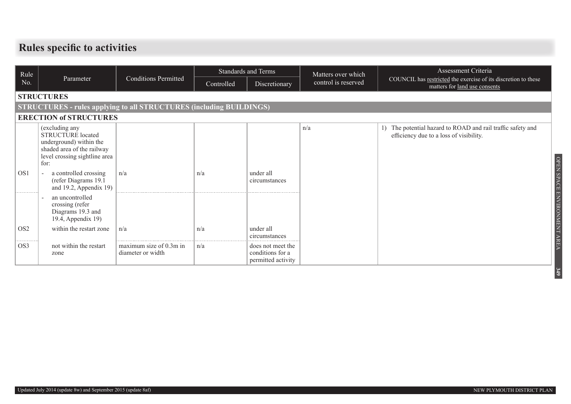#### **Rules specific to activities**

| Rule                        |                                                                                                                                              |                                              | <b>Standards and Terms</b> |                                                             | Matters over which  | Assessment Criteria                                                                                 |  |  |  |  |  |
|-----------------------------|----------------------------------------------------------------------------------------------------------------------------------------------|----------------------------------------------|----------------------------|-------------------------------------------------------------|---------------------|-----------------------------------------------------------------------------------------------------|--|--|--|--|--|
| No.                         | Parameter                                                                                                                                    | <b>Conditions Permitted</b>                  | Controlled                 | Discretionary                                               | control is reserved | COUNCIL has restricted the exercise of its discretion to these<br>matters for land use consents     |  |  |  |  |  |
|                             | <b>STRUCTURES</b>                                                                                                                            |                                              |                            |                                                             |                     |                                                                                                     |  |  |  |  |  |
|                             | <b>STRUCTURES - rules applying to all STRUCTURES (including BUILDINGS)</b>                                                                   |                                              |                            |                                                             |                     |                                                                                                     |  |  |  |  |  |
|                             | <b>ERECTION of STRUCTURES</b>                                                                                                                |                                              |                            |                                                             |                     |                                                                                                     |  |  |  |  |  |
|                             | (excluding any<br><b>STRUCTURE</b> located<br>underground) within the<br>shaded area of the railway<br>level crossing sightline area<br>for: |                                              |                            |                                                             | n/a                 | The potential hazard to ROAD and rail traffic safety and<br>efficiency due to a loss of visibility. |  |  |  |  |  |
| OS <sub>1</sub>             | a controlled crossing<br>(refer Diagrams 19.1<br>and 19.2, Appendix 19)                                                                      | n/a                                          | n/a                        | under all<br>circumstances                                  |                     |                                                                                                     |  |  |  |  |  |
| .                           | an uncontrolled<br>crossing (refer<br>Diagrams 19.3 and<br>19.4, Appendix 19)                                                                |                                              |                            |                                                             |                     | OPEN SPACE ENVIRONMENT AREA                                                                         |  |  |  |  |  |
| OS <sub>2</sub><br>-------- | within the restart zone                                                                                                                      | n/a                                          | n/a                        | under all<br>circumstances                                  |                     |                                                                                                     |  |  |  |  |  |
| OS3                         | not within the restart<br>zone                                                                                                               | maximum size of 0.3m in<br>diameter or width | n/a                        | does not meet the<br>conditions for a<br>permitted activity |                     |                                                                                                     |  |  |  |  |  |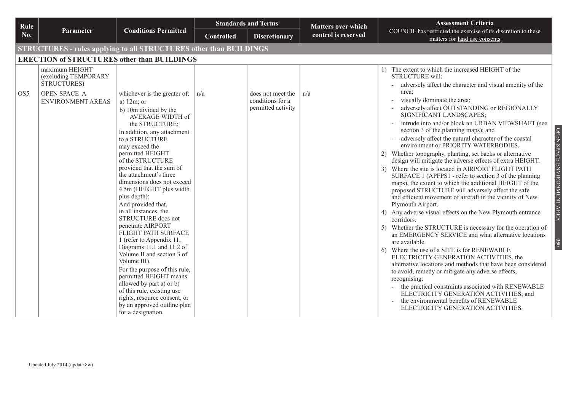| Rule            |                                                                                            |                                                                                                                                                                                                                                                                                                                                                                                                                                                                                                                                                                                                                                                                                                     |                   | <b>Standards and Terms</b>                                  | Matters over which  | <b>Assessment Criteria</b>                                                                                                                                                                                                                                                                                                                                                                                                                                                                                                                                                                                                                                                                                                                                                                                                                                                                                                                                                                                                                                                                                                                                                                                                                                                                                                                                                                                                                                                                  |  |  |  |  |  |
|-----------------|--------------------------------------------------------------------------------------------|-----------------------------------------------------------------------------------------------------------------------------------------------------------------------------------------------------------------------------------------------------------------------------------------------------------------------------------------------------------------------------------------------------------------------------------------------------------------------------------------------------------------------------------------------------------------------------------------------------------------------------------------------------------------------------------------------------|-------------------|-------------------------------------------------------------|---------------------|---------------------------------------------------------------------------------------------------------------------------------------------------------------------------------------------------------------------------------------------------------------------------------------------------------------------------------------------------------------------------------------------------------------------------------------------------------------------------------------------------------------------------------------------------------------------------------------------------------------------------------------------------------------------------------------------------------------------------------------------------------------------------------------------------------------------------------------------------------------------------------------------------------------------------------------------------------------------------------------------------------------------------------------------------------------------------------------------------------------------------------------------------------------------------------------------------------------------------------------------------------------------------------------------------------------------------------------------------------------------------------------------------------------------------------------------------------------------------------------------|--|--|--|--|--|
| No.             | <b>Parameter</b>                                                                           | <b>Conditions Permitted</b>                                                                                                                                                                                                                                                                                                                                                                                                                                                                                                                                                                                                                                                                         | <b>Controlled</b> | <b>Discretionary</b>                                        | control is reserved | COUNCIL has restricted the exercise of its discretion to these<br>matters for land use consents                                                                                                                                                                                                                                                                                                                                                                                                                                                                                                                                                                                                                                                                                                                                                                                                                                                                                                                                                                                                                                                                                                                                                                                                                                                                                                                                                                                             |  |  |  |  |  |
|                 | <b>STRUCTURES - rules applying to all STRUCTURES other than BUILDINGS</b>                  |                                                                                                                                                                                                                                                                                                                                                                                                                                                                                                                                                                                                                                                                                                     |                   |                                                             |                     |                                                                                                                                                                                                                                                                                                                                                                                                                                                                                                                                                                                                                                                                                                                                                                                                                                                                                                                                                                                                                                                                                                                                                                                                                                                                                                                                                                                                                                                                                             |  |  |  |  |  |
|                 | <b>ERECTION of STRUCTURES other than BUILDINGS</b>                                         |                                                                                                                                                                                                                                                                                                                                                                                                                                                                                                                                                                                                                                                                                                     |                   |                                                             |                     |                                                                                                                                                                                                                                                                                                                                                                                                                                                                                                                                                                                                                                                                                                                                                                                                                                                                                                                                                                                                                                                                                                                                                                                                                                                                                                                                                                                                                                                                                             |  |  |  |  |  |
| OS <sub>5</sub> | maximum HEIGHT<br>(excluding TEMPORARY<br>STRUCTURES)<br>OPEN SPACE A<br>ENVIRONMENT AREAS | whichever is the greater of:<br>a) $12m$ ; or<br>b) 10m divided by the<br>AVERAGE WIDTH of<br>the STRUCTURE;<br>In addition, any attachment<br>to a STRUCTURE<br>may exceed the<br>permitted HEIGHT<br>of the STRUCTURE<br>provided that the sum of<br>the attachment's three<br>dimensions does not exceed<br>4.5m (HEIGHT plus width<br>plus depth);<br>And provided that,<br>in all instances, the<br>STRUCTURE does not<br>penetrate AIRPORT<br>FLIGHT PATH SURFACE<br>1 (refer to Appendix 11,<br>Diagrams 11.1 and 11.2 of<br>Volume II and section 3 of<br>Volume III).<br>For the purpose of this rule,<br>permitted HEIGHT means<br>allowed by part a) or b)<br>of this rule, existing use | n/a               | does not meet the<br>conditions for a<br>permitted activity | n/a                 | 1) The extent to which the increased HEIGHT of the<br><b>STRUCTURE will:</b><br>adversely affect the character and visual amenity of the<br>area;<br>visually dominate the area;<br>adversely affect OUTSTANDING or REGIONALLY<br>SIGNIFICANT LANDSCAPES;<br>intrude into and/or block an URBAN VIEWSHAFT (see<br>OPEN SPACE ENVIRONMENT AREA<br>section 3 of the planning maps); and<br>adversely affect the natural character of the coastal<br>environment or PRIORITY WATERBODIES.<br>2) Whether topography, planting, set backs or alternative<br>design will mitigate the adverse effects of extra HEIGHT.<br>3) Where the site is located in AIRPORT FLIGHT PATH<br>SURFACE 1 (APFPS1 - refer to section 3 of the planning<br>maps), the extent to which the additional HEIGHT of the<br>proposed STRUCTURE will adversely affect the safe<br>and efficient movement of aircraft in the vicinity of New<br>Plymouth Airport.<br>Any adverse visual effects on the New Plymouth entrance<br>4)<br>corridors.<br>Whether the STRUCTURE is necessary for the operation of<br>an EMERGENCY SERVICE and what alternative locations<br>are available.<br>350<br>6) Where the use of a SITE is for RENEWABLE<br>ELECTRICITY GENERATION ACTIVITIES, the<br>alternative locations and methods that have been considered<br>to avoid, remedy or mitigate any adverse effects,<br>recognising:<br>the practical constraints associated with RENEWABLE<br>ELECTRICITY GENERATION ACTIVITIES; and |  |  |  |  |  |
|                 |                                                                                            | rights, resource consent, or<br>by an approved outline plan<br>for a designation.                                                                                                                                                                                                                                                                                                                                                                                                                                                                                                                                                                                                                   |                   |                                                             |                     | the environmental benefits of RENEWABLE<br>ELECTRICITY GENERATION ACTIVITIES.                                                                                                                                                                                                                                                                                                                                                                                                                                                                                                                                                                                                                                                                                                                                                                                                                                                                                                                                                                                                                                                                                                                                                                                                                                                                                                                                                                                                               |  |  |  |  |  |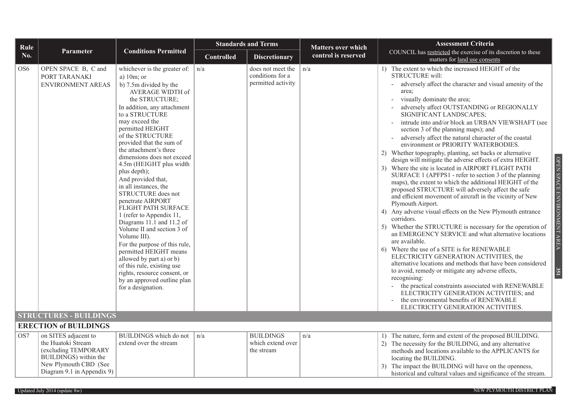| Rule            |                                                                                                                      |                                                                                                                                                                                                                                                                                                                                                                                                                                                                                                                                                                                                                                                                                                                                                                                                   | <b>Standards and Terms</b> |                                                             | <b>Matters over which</b> | <b>Assessment Criteria</b>                                                                                                                                                                                                                                                                                                                                                                                                                                                                                                                                                                                                                                                                                                                                                                                                                                                                                                                                                                                                                                                                                                                                                                                                                                                                                                                                                                                                                                                                                                                          |
|-----------------|----------------------------------------------------------------------------------------------------------------------|---------------------------------------------------------------------------------------------------------------------------------------------------------------------------------------------------------------------------------------------------------------------------------------------------------------------------------------------------------------------------------------------------------------------------------------------------------------------------------------------------------------------------------------------------------------------------------------------------------------------------------------------------------------------------------------------------------------------------------------------------------------------------------------------------|----------------------------|-------------------------------------------------------------|---------------------------|-----------------------------------------------------------------------------------------------------------------------------------------------------------------------------------------------------------------------------------------------------------------------------------------------------------------------------------------------------------------------------------------------------------------------------------------------------------------------------------------------------------------------------------------------------------------------------------------------------------------------------------------------------------------------------------------------------------------------------------------------------------------------------------------------------------------------------------------------------------------------------------------------------------------------------------------------------------------------------------------------------------------------------------------------------------------------------------------------------------------------------------------------------------------------------------------------------------------------------------------------------------------------------------------------------------------------------------------------------------------------------------------------------------------------------------------------------------------------------------------------------------------------------------------------------|
| No.             | <b>Parameter</b>                                                                                                     | <b>Conditions Permitted</b>                                                                                                                                                                                                                                                                                                                                                                                                                                                                                                                                                                                                                                                                                                                                                                       | <b>Controlled</b>          | <b>Discretionary</b>                                        | control is reserved       | COUNCIL has restricted the exercise of its discretion to these<br>matters for land use consents                                                                                                                                                                                                                                                                                                                                                                                                                                                                                                                                                                                                                                                                                                                                                                                                                                                                                                                                                                                                                                                                                                                                                                                                                                                                                                                                                                                                                                                     |
| OS6             | OPEN SPACE B, C and<br>PORT TARANAKI<br><b>ENVIRONMENT AREAS</b>                                                     | whichever is the greater of: $ n/a $<br>a) $10m$ ; or<br>b) 7.5m divided by the<br>AVERAGE WIDTH of<br>the STRUCTURE;<br>In addition, any attachment<br>to a STRUCTURE<br>may exceed the<br>permitted HEIGHT<br>of the STRUCTURE<br>provided that the sum of<br>the attachment's three<br>dimensions does not exceed<br>4.5m (HEIGHT plus width<br>plus depth);<br>And provided that,<br>in all instances, the<br>STRUCTURE does not<br>penetrate AIRPORT<br>FLIGHT PATH SURFACE<br>1 (refer to Appendix 11,<br>Diagrams 11.1 and 11.2 of<br>Volume II and section 3 of<br>Volume III).<br>For the purpose of this rule,<br>permitted HEIGHT means<br>allowed by part a) or b)<br>of this rule, existing use<br>rights, resource consent, or<br>by an approved outline plan<br>for a designation. |                            | does not meet the<br>conditions for a<br>permitted activity | n/a                       | 1) The extent to which the increased HEIGHT of the<br>STRUCTURE will:<br>adversely affect the character and visual amenity of the<br>area;<br>visually dominate the area;<br>$\blacksquare$<br>adversely affect OUTSTANDING or REGIONALLY<br>SIGNIFICANT LANDSCAPES;<br>intrude into and/or block an URBAN VIEWSHAFT (see<br>section 3 of the planning maps); and<br>adversely affect the natural character of the coastal<br>environment or PRIORITY WATERBODIES.<br>2) Whether topography, planting, set backs or alternative<br>design will mitigate the adverse effects of extra HEIGHT.<br>3) Where the site is located in AIRPORT FLIGHT PATH<br>SURFACE 1 (APFPS1 - refer to section 3 of the planning<br>maps), the extent to which the additional HEIGHT of the<br>proposed STRUCTURE will adversely affect the safe<br>and efficient movement of aircraft in the vicinity of New<br>Plymouth Airport.<br>4) Any adverse visual effects on the New Plymouth entrance<br>corridors.<br>5) Whether the STRUCTURE is necessary for the operation of<br>an EMERGENCY SERVICE and what alternative locations<br>are available.<br>6) Where the use of a SITE is for RENEWABLE<br>ELECTRICITY GENERATION ACTIVITIES, the<br>alternative locations and methods that have been considered<br>to avoid, remedy or mitigate any adverse effects,<br>recognising:<br>- the practical constraints associated with RENEWABLE<br>ELECTRICITY GENERATION ACTIVITIES; and<br>the environmental benefits of RENEWABLE<br>ELECTRICITY GENERATION ACTIVITIES. |
|                 | <b>STRUCTURES - BUILDINGS</b>                                                                                        |                                                                                                                                                                                                                                                                                                                                                                                                                                                                                                                                                                                                                                                                                                                                                                                                   |                            |                                                             |                           |                                                                                                                                                                                                                                                                                                                                                                                                                                                                                                                                                                                                                                                                                                                                                                                                                                                                                                                                                                                                                                                                                                                                                                                                                                                                                                                                                                                                                                                                                                                                                     |
|                 | <b>ERECTION of BUILDINGS</b>                                                                                         |                                                                                                                                                                                                                                                                                                                                                                                                                                                                                                                                                                                                                                                                                                                                                                                                   |                            |                                                             |                           |                                                                                                                                                                                                                                                                                                                                                                                                                                                                                                                                                                                                                                                                                                                                                                                                                                                                                                                                                                                                                                                                                                                                                                                                                                                                                                                                                                                                                                                                                                                                                     |
| OS <sub>7</sub> | on SITES adjacent to<br>the Huatoki Stream<br>(excluding TEMPORARY<br>BUILDINGS) within the<br>New Plymouth CBD (See | BUILDINGS which do not<br>extend over the stream                                                                                                                                                                                                                                                                                                                                                                                                                                                                                                                                                                                                                                                                                                                                                  | n/a                        | <b>BUILDINGS</b><br>which extend over<br>the stream         | n/a                       | 1) The nature, form and extent of the proposed BUILDING.<br>2) The necessity for the BUILDING, and any alternative<br>methods and locations available to the APPLICANTS for<br>locating the BUILDING.<br>The impact the BUILDING will have on the openness,                                                                                                                                                                                                                                                                                                                                                                                                                                                                                                                                                                                                                                                                                                                                                                                                                                                                                                                                                                                                                                                                                                                                                                                                                                                                                         |
|                 | Diagram 9.1 in Appendix 9)                                                                                           |                                                                                                                                                                                                                                                                                                                                                                                                                                                                                                                                                                                                                                                                                                                                                                                                   |                            |                                                             |                           | historical and cultural values and significance of the stream.                                                                                                                                                                                                                                                                                                                                                                                                                                                                                                                                                                                                                                                                                                                                                                                                                                                                                                                                                                                                                                                                                                                                                                                                                                                                                                                                                                                                                                                                                      |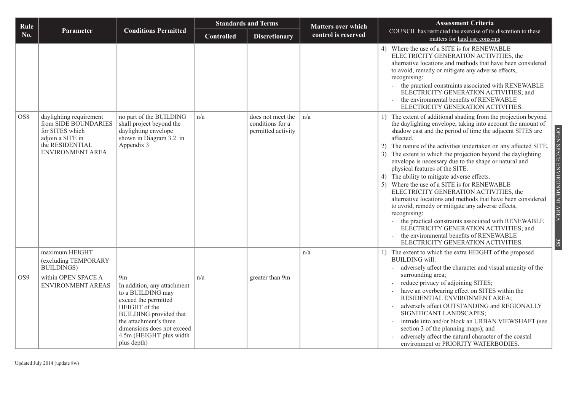| Rule            |                                                                                                                                      |                                                                                                                                                                                                                                                | <b>Standards and Terms</b> |                                                             | <b>Matters over which</b> | <b>Assessment Criteria</b>                                                                                                                                                                                                                                                                                                                                                                                                                                                                                                                                                                                                                                                                                                                                                                                                                                                                                                                 |
|-----------------|--------------------------------------------------------------------------------------------------------------------------------------|------------------------------------------------------------------------------------------------------------------------------------------------------------------------------------------------------------------------------------------------|----------------------------|-------------------------------------------------------------|---------------------------|--------------------------------------------------------------------------------------------------------------------------------------------------------------------------------------------------------------------------------------------------------------------------------------------------------------------------------------------------------------------------------------------------------------------------------------------------------------------------------------------------------------------------------------------------------------------------------------------------------------------------------------------------------------------------------------------------------------------------------------------------------------------------------------------------------------------------------------------------------------------------------------------------------------------------------------------|
| No.             | Parameter                                                                                                                            | <b>Conditions Permitted</b>                                                                                                                                                                                                                    | <b>Controlled</b>          | <b>Discretionary</b>                                        | control is reserved       | COUNCIL has restricted the exercise of its discretion to these<br>matters for land use consents                                                                                                                                                                                                                                                                                                                                                                                                                                                                                                                                                                                                                                                                                                                                                                                                                                            |
|                 |                                                                                                                                      |                                                                                                                                                                                                                                                |                            |                                                             |                           | 4) Where the use of a SITE is for RENEWABLE<br>ELECTRICITY GENERATION ACTIVITIES, the<br>alternative locations and methods that have been considered<br>to avoid, remedy or mitigate any adverse effects,<br>recognising:<br>- the practical constraints associated with RENEWABLE<br>ELECTRICITY GENERATION ACTIVITIES; and<br>the environmental benefits of RENEWABLE<br>ELECTRICITY GENERATION ACTIVITIES.                                                                                                                                                                                                                                                                                                                                                                                                                                                                                                                              |
| OS <sub>8</sub> | daylighting requirement<br>from SIDE BOUNDARIES<br>for SITES which<br>adjoin a SITE in<br>the RESIDENTIAL<br><b>ENVIRONMENT AREA</b> | no part of the BUILDING<br>shall project beyond the<br>daylighting envelope<br>shown in Diagram 3.2 in<br>Appendix 3                                                                                                                           | n/a                        | does not meet the<br>conditions for a<br>permitted activity | n/a                       | 1) The extent of additional shading from the projection beyond<br>the daylighting envelope, taking into account the amount of<br>OPEN SPACE ENVIRONMENT AREA<br>shadow cast and the period of time the adjacent SITES are<br>affected.<br>2) The nature of the activities undertaken on any affected SITE.<br>3) The extent to which the projection beyond the daylighting<br>envelope is necessary due to the shape or natural and<br>physical features of the SITE.<br>4) The ability to mitigate adverse effects.<br>5) Where the use of a SITE is for RENEWABLE<br>ELECTRICITY GENERATION ACTIVITIES, the<br>alternative locations and methods that have been considered<br>to avoid, remedy or mitigate any adverse effects,<br>recognising:<br>the practical constraints associated with RENEWABLE<br>ELECTRICITY GENERATION ACTIVITIES; and<br>the environmental benefits of RENEWABLE<br>352<br>ELECTRICITY GENERATION ACTIVITIES. |
| OS <sub>9</sub> | maximum HEIGHT<br>(excluding TEMPORARY<br><b>BUILDINGS</b> )<br>within OPEN SPACE A<br><b>ENVIRONMENT AREAS</b>                      | 9 <sub>m</sub><br>In addition, any attachment<br>to a BUILDING may<br>exceed the permitted<br>HEIGHT of the<br><b>BUILDING</b> provided that<br>the attachment's three<br>dimensions does not exceed<br>4.5m (HEIGHT plus width<br>plus depth) | n/a                        | greater than 9m                                             | n/a                       | 1) The extent to which the extra HEIGHT of the proposed<br><b>BUILDING</b> will:<br>adversely affect the character and visual amenity of the<br>surrounding area;<br>reduce privacy of adjoining SITES;<br>have an overbearing effect on SITES within the<br>RESIDENTIAL ENVIRONMENT AREA;<br>adversely affect OUTSTANDING and REGIONALLY<br>SIGNIFICANT LANDSCAPES;<br>intrude into and/or block an URBAN VIEWSHAFT (see<br>section 3 of the planning maps); and<br>adversely affect the natural character of the coastal<br>environment or PRIORITY WATERBODIES.                                                                                                                                                                                                                                                                                                                                                                         |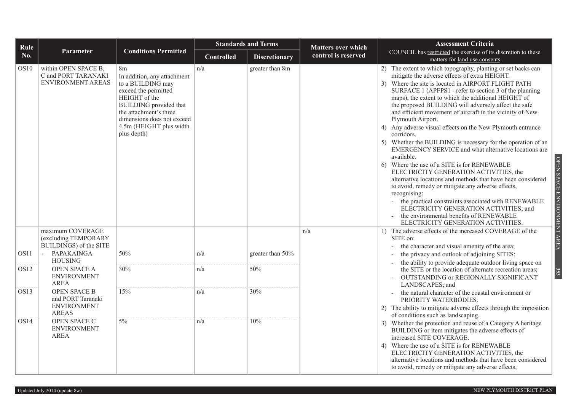| Rule             |                                                                         |                                                                                                                                                                                                                                                | <b>Standards and Terms</b> |                      | <b>Matters over which</b> | <b>Assessment Criteria</b>                                                                                                                                                                                                                                                                                                                                                                                                                                                                                                                                                                                                                                                                                                                                                                                                                                                                                                                                                                                                                                         |
|------------------|-------------------------------------------------------------------------|------------------------------------------------------------------------------------------------------------------------------------------------------------------------------------------------------------------------------------------------|----------------------------|----------------------|---------------------------|--------------------------------------------------------------------------------------------------------------------------------------------------------------------------------------------------------------------------------------------------------------------------------------------------------------------------------------------------------------------------------------------------------------------------------------------------------------------------------------------------------------------------------------------------------------------------------------------------------------------------------------------------------------------------------------------------------------------------------------------------------------------------------------------------------------------------------------------------------------------------------------------------------------------------------------------------------------------------------------------------------------------------------------------------------------------|
| No.              | <b>Parameter</b>                                                        | <b>Conditions Permitted</b>                                                                                                                                                                                                                    | <b>Controlled</b>          | <b>Discretionary</b> | control is reserved       | COUNCIL has restricted the exercise of its discretion to these<br>matters for land use consents                                                                                                                                                                                                                                                                                                                                                                                                                                                                                                                                                                                                                                                                                                                                                                                                                                                                                                                                                                    |
| OS <sub>10</sub> | within OPEN SPACE B,<br>C and PORT TARANAKI<br><b>ENVIRONMENT AREAS</b> | 8 <sub>m</sub><br>In addition, any attachment<br>to a BUILDING may<br>exceed the permitted<br>HEIGHT of the<br><b>BUILDING</b> provided that<br>the attachment's three<br>dimensions does not exceed<br>4.5m (HEIGHT plus width<br>plus depth) | n/a                        | greater than 8m      |                           | 2) The extent to which topography, planting or set backs can<br>mitigate the adverse effects of extra HEIGHT.<br>3) Where the site is located in AIRPORT FLIGHT PATH<br>SURFACE 1 (APFPS1 - refer to section 3 of the planning<br>maps), the extent to which the additional HEIGHT of<br>the proposed BUILDING will adversely affect the safe<br>and efficient movement of aircraft in the vicinity of New<br>Plymouth Airport.<br>4) Any adverse visual effects on the New Plymouth entrance<br>corridors.<br>5) Whether the BUILDING is necessary for the operation of an<br>EMERGENCY SERVICE and what alternative locations are<br>available.<br>6) Where the use of a SITE is for RENEWABLE<br>ELECTRICITY GENERATION ACTIVITIES, the<br>alternative locations and methods that have been considered<br>to avoid, remedy or mitigate any adverse effects,<br>recognising:<br>- the practical constraints associated with RENEWABLE<br>ELECTRICITY GENERATION ACTIVITIES; and<br>the environmental benefits of RENEWABLE<br>ELECTRICITY GENERATION ACTIVITIES. |
|                  | maximum COVERAGE<br>(excluding TEMPORARY<br>BUILDINGS) of the SITE      |                                                                                                                                                                                                                                                |                            |                      | n/a                       | 1) The adverse effects of the increased COVERAGE of the<br>SITE on:<br>the character and visual amenity of the area;                                                                                                                                                                                                                                                                                                                                                                                                                                                                                                                                                                                                                                                                                                                                                                                                                                                                                                                                               |
| OS <sub>11</sub> | <b>PAPAKAINGA</b><br><b>HOUSING</b>                                     | 50%                                                                                                                                                                                                                                            | n/a                        | greater than 50%     |                           | the privacy and outlook of adjoining SITES;<br>the ability to provide adequate outdoor living space on                                                                                                                                                                                                                                                                                                                                                                                                                                                                                                                                                                                                                                                                                                                                                                                                                                                                                                                                                             |
| OS <sub>12</sub> | OPEN SPACE A<br><b>ENVIRONMENT</b><br><b>AREA</b>                       | 30%                                                                                                                                                                                                                                            | n/a                        | 50%                  |                           | the SITE or the location of alternate recreation areas;<br>OUTSTANDING or REGIONALLY SIGNIFICANT<br>LANDSCAPES; and                                                                                                                                                                                                                                                                                                                                                                                                                                                                                                                                                                                                                                                                                                                                                                                                                                                                                                                                                |
| OS <sub>13</sub> | OPEN SPACE B<br>and PORT Taranaki<br><b>ENVIRONMENT</b><br><b>AREAS</b> | 15%                                                                                                                                                                                                                                            | n/a                        | 30%                  |                           | the natural character of the coastal environment or<br>PRIORITY WATERBODIES.<br>2) The ability to mitigate adverse effects through the imposition<br>of conditions such as landscaping.                                                                                                                                                                                                                                                                                                                                                                                                                                                                                                                                                                                                                                                                                                                                                                                                                                                                            |
| OS14             | OPEN SPACE C<br><b>ENVIRONMENT</b><br><b>AREA</b>                       | $5\%$                                                                                                                                                                                                                                          | n/a                        | 10%                  |                           | 3) Whether the protection and reuse of a Category A heritage<br>BUILDING or item mitigates the adverse effects of<br>increased SITE COVERAGE.<br>Where the use of a SITE is for RENEWABLE<br>4)<br>ELECTRICITY GENERATION ACTIVITIES, the<br>alternative locations and methods that have been considered<br>to avoid, remedy or mitigate any adverse effects,                                                                                                                                                                                                                                                                                                                                                                                                                                                                                                                                                                                                                                                                                                      |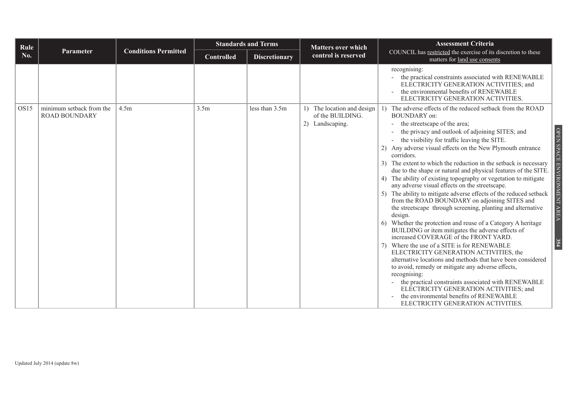| Rule |                                                  |                             |                   | <b>Standards and Terms</b> | <b>Matters over which</b>                                                 | <b>Assessment Criteria</b>                                                                                                                                                                                                                                                                                                                                                                                                                                                                                                                                                                                                                                                                                                                                                                                                                                                                                                                                                                                                                                                                                                                                                                                                                                                                                                                                                       |
|------|--------------------------------------------------|-----------------------------|-------------------|----------------------------|---------------------------------------------------------------------------|----------------------------------------------------------------------------------------------------------------------------------------------------------------------------------------------------------------------------------------------------------------------------------------------------------------------------------------------------------------------------------------------------------------------------------------------------------------------------------------------------------------------------------------------------------------------------------------------------------------------------------------------------------------------------------------------------------------------------------------------------------------------------------------------------------------------------------------------------------------------------------------------------------------------------------------------------------------------------------------------------------------------------------------------------------------------------------------------------------------------------------------------------------------------------------------------------------------------------------------------------------------------------------------------------------------------------------------------------------------------------------|
| No.  | <b>Parameter</b>                                 | <b>Conditions Permitted</b> | <b>Controlled</b> | <b>Discretionary</b>       | control is reserved                                                       | COUNCIL has restricted the exercise of its discretion to these<br>matters for land use consents                                                                                                                                                                                                                                                                                                                                                                                                                                                                                                                                                                                                                                                                                                                                                                                                                                                                                                                                                                                                                                                                                                                                                                                                                                                                                  |
|      |                                                  |                             |                   |                            |                                                                           | recognising:<br>the practical constraints associated with RENEWABLE<br>ELECTRICITY GENERATION ACTIVITIES; and<br>the environmental benefits of RENEWABLE<br>ELECTRICITY GENERATION ACTIVITIES.                                                                                                                                                                                                                                                                                                                                                                                                                                                                                                                                                                                                                                                                                                                                                                                                                                                                                                                                                                                                                                                                                                                                                                                   |
| OS15 | minimum setback from the<br><b>ROAD BOUNDARY</b> | 4.5m                        | 3.5m              | less than 3.5m             | 1) The location and design $\vert$<br>of the BUILDING.<br>2) Landscaping. | 1) The adverse effects of the reduced setback from the ROAD<br>BOUNDARY on:<br>the streetscape of the area;<br>$\blacksquare$<br>the privacy and outlook of adjoining SITES; and<br>the visibility for traffic leaving the SITE.<br>$\overline{\phantom{a}}$<br>2) Any adverse visual effects on the New Plymouth entrance<br>corridors.<br>3) The extent to which the reduction in the setback is necessary<br>due to the shape or natural and physical features of the SITE.<br>4) The ability of existing topography or vegetation to mitigate<br>any adverse visual effects on the streetscape.<br>5) The ability to mitigate adverse effects of the reduced setback<br>from the ROAD BOUNDARY on adjoining SITES and<br>the streetscape through screening, planting and alternative<br>design.<br>6) Whether the protection and reuse of a Category A heritage<br>BUILDING or item mitigates the adverse effects of<br>increased COVERAGE of the FRONT YARD.<br>7) Where the use of a SITE is for RENEWABLE<br>ELECTRICITY GENERATION ACTIVITIES, the<br>alternative locations and methods that have been considered<br>to avoid, remedy or mitigate any adverse effects,<br>recognising:<br>the practical constraints associated with RENEWABLE<br>ELECTRICITY GENERATION ACTIVITIES; and<br>the environmental benefits of RENEWABLE<br>ELECTRICITY GENERATION ACTIVITIES. |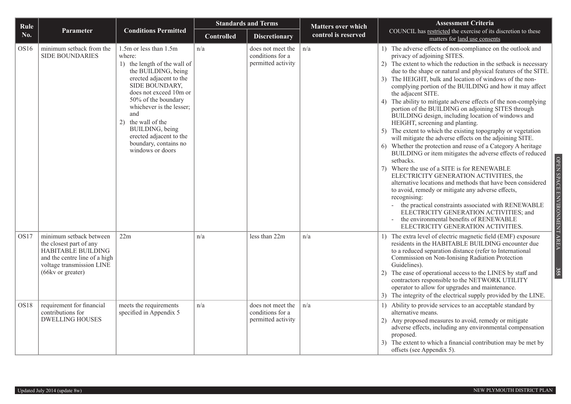| Rule             |                                                                                                                                                             |                                                                                                                                                                                                                                                                                                                                           | <b>Standards and Terms</b> |                                                             | <b>Matters over which</b> | <b>Assessment Criteria</b>                                                                                                                                                                                                                                                                                                                                                                                                                                                                                                                                                                                                                                                                                                                                                                                                                                                                                                                                                                                                                                                                                                                                                                                                                                                       |
|------------------|-------------------------------------------------------------------------------------------------------------------------------------------------------------|-------------------------------------------------------------------------------------------------------------------------------------------------------------------------------------------------------------------------------------------------------------------------------------------------------------------------------------------|----------------------------|-------------------------------------------------------------|---------------------------|----------------------------------------------------------------------------------------------------------------------------------------------------------------------------------------------------------------------------------------------------------------------------------------------------------------------------------------------------------------------------------------------------------------------------------------------------------------------------------------------------------------------------------------------------------------------------------------------------------------------------------------------------------------------------------------------------------------------------------------------------------------------------------------------------------------------------------------------------------------------------------------------------------------------------------------------------------------------------------------------------------------------------------------------------------------------------------------------------------------------------------------------------------------------------------------------------------------------------------------------------------------------------------|
| No.              | Parameter                                                                                                                                                   | <b>Conditions Permitted</b>                                                                                                                                                                                                                                                                                                               | <b>Controlled</b>          | <b>Discretionary</b>                                        | control is reserved       | COUNCIL has restricted the exercise of its discretion to these<br>matters for land use consents                                                                                                                                                                                                                                                                                                                                                                                                                                                                                                                                                                                                                                                                                                                                                                                                                                                                                                                                                                                                                                                                                                                                                                                  |
| OS <sub>16</sub> | minimum setback from the<br><b>SIDE BOUNDARIES</b>                                                                                                          | 1.5m or less than 1.5m<br>where:<br>1) the length of the wall of<br>the BUILDING, being<br>erected adjacent to the<br>SIDE BOUNDARY,<br>does not exceed 10m or<br>50% of the boundary<br>whichever is the lesser;<br>and<br>2) the wall of the<br>BUILDING, being<br>erected adjacent to the<br>boundary, contains no<br>windows or doors | n/a                        | does not meet the<br>conditions for a<br>permitted activity | n/a                       | 1) The adverse effects of non-compliance on the outlook and<br>privacy of adjoining SITES.<br>2) The extent to which the reduction in the setback is necessary<br>due to the shape or natural and physical features of the SITE.<br>The HEIGHT, bulk and location of windows of the non-<br>complying portion of the BUILDING and how it may affect<br>the adjacent SITE.<br>4) The ability to mitigate adverse effects of the non-complying<br>portion of the BUILDING on adjoining SITES through<br>BUILDING design, including location of windows and<br>HEIGHT, screening and planting.<br>5) The extent to which the existing topography or vegetation<br>will mitigate the adverse effects on the adjoining SITE.<br>Whether the protection and reuse of a Category A heritage<br>BUILDING or item mitigates the adverse effects of reduced<br>setbacks.<br>Where the use of a SITE is for RENEWABLE<br>7)<br>ELECTRICITY GENERATION ACTIVITIES, the<br>alternative locations and methods that have been considered<br>to avoid, remedy or mitigate any adverse effects,<br>recognising:<br>the practical constraints associated with RENEWABLE<br>ELECTRICITY GENERATION ACTIVITIES; and<br>the environmental benefits of RENEWABLE<br>ELECTRICITY GENERATION ACTIVITIES. |
| OS <sub>17</sub> | minimum setback between<br>the closest part of any<br>HABITABLE BUILDING<br>and the centre line of a high<br>voltage transmission LINE<br>(66kv or greater) | 22m                                                                                                                                                                                                                                                                                                                                       | n/a                        | less than 22m                                               | n/a                       | 1) The extra level of electric magnetic field (EMF) exposure<br>residents in the HABITABLE BUILDING encounter due<br>to a reduced separation distance (refer to International<br>Commission on Non-Ionising Radiation Protection<br>Guidelines).<br>The ease of operational access to the LINES by staff and<br>2)<br>contractors responsible to the NETWORK UTILITY<br>operator to allow for upgrades and maintenance.<br>The integrity of the electrical supply provided by the LINE.                                                                                                                                                                                                                                                                                                                                                                                                                                                                                                                                                                                                                                                                                                                                                                                          |
| OS <sub>18</sub> | requirement for financial<br>contributions for<br><b>DWELLING HOUSES</b>                                                                                    | meets the requirements<br>specified in Appendix 5                                                                                                                                                                                                                                                                                         | n/a                        | does not meet the<br>conditions for a<br>permitted activity | n/a                       | 1) Ability to provide services to an acceptable standard by<br>alternative means.<br>Any proposed measures to avoid, remedy or mitigate<br>adverse effects, including any environmental compensation<br>proposed.<br>The extent to which a financial contribution may be met by<br>offsets (see Appendix 5).                                                                                                                                                                                                                                                                                                                                                                                                                                                                                                                                                                                                                                                                                                                                                                                                                                                                                                                                                                     |

OPEN SPACE ENVIRONMENT AREA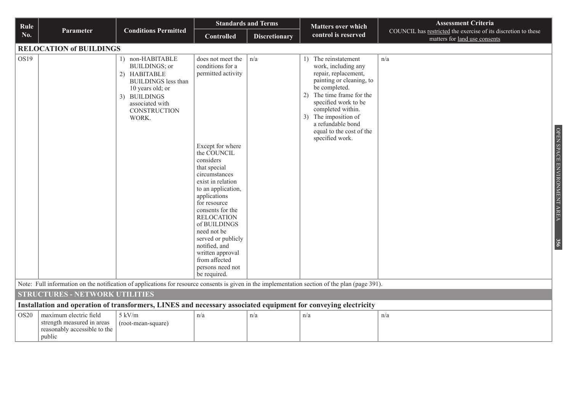| Rule        |                                                                                                                                                                                          |                                                                                                                                                                               |                                                                                                                                                                                                                                                                                                                                                                                                                 | <b>Standards and Terms</b><br><b>Matters over which</b> |                                                                                                                                                                                                                                                                                                 | <b>Assessment Criteria</b>                                                                      |
|-------------|------------------------------------------------------------------------------------------------------------------------------------------------------------------------------------------|-------------------------------------------------------------------------------------------------------------------------------------------------------------------------------|-----------------------------------------------------------------------------------------------------------------------------------------------------------------------------------------------------------------------------------------------------------------------------------------------------------------------------------------------------------------------------------------------------------------|---------------------------------------------------------|-------------------------------------------------------------------------------------------------------------------------------------------------------------------------------------------------------------------------------------------------------------------------------------------------|-------------------------------------------------------------------------------------------------|
| No.         | Parameter                                                                                                                                                                                | <b>Conditions Permitted</b>                                                                                                                                                   | <b>Controlled</b>                                                                                                                                                                                                                                                                                                                                                                                               | <b>Discretionary</b>                                    | control is reserved                                                                                                                                                                                                                                                                             | COUNCIL has restricted the exercise of its discretion to these<br>matters for land use consents |
|             | <b>RELOCATION of BUILDINGS</b>                                                                                                                                                           |                                                                                                                                                                               |                                                                                                                                                                                                                                                                                                                                                                                                                 |                                                         |                                                                                                                                                                                                                                                                                                 |                                                                                                 |
| OS19        |                                                                                                                                                                                          | 1) non-HABITABLE<br><b>BUILDINGS; or</b><br>2) HABITABLE<br><b>BUILDINGS</b> less than<br>10 years old; or<br>3) BUILDINGS<br>associated with<br><b>CONSTRUCTION</b><br>WORK. | does not meet the<br>conditions for a<br>permitted activity<br>Except for where<br>the COUNCIL<br>considers<br>that special<br>circumstances<br>exist in relation<br>to an application,<br>applications<br>for resource<br>consents for the<br><b>RELOCATION</b><br>of BUILDINGS<br>need not be<br>served or publicly<br>notified, and<br>written approval<br>from affected<br>persons need not<br>be required. | n/a                                                     | The reinstatement<br>1)<br>work, including any<br>repair, replacement,<br>painting or cleaning, to<br>be completed.<br>The time frame for the<br>2)<br>specified work to be<br>completed within.<br>The imposition of<br>3)<br>a refundable bond<br>equal to the cost of the<br>specified work. | n/a<br>OPEN SPACE ENVIRONMENT AREA<br>356                                                       |
|             | Note: Full information on the notification of applications for resource consents is given in the implementation section of the plan (page 391).<br><b>STRUCTURES - NETWORK UTILITIES</b> |                                                                                                                                                                               |                                                                                                                                                                                                                                                                                                                                                                                                                 |                                                         |                                                                                                                                                                                                                                                                                                 |                                                                                                 |
|             | Installation and operation of transformers, LINES and necessary associated equipment for conveying electricity                                                                           |                                                                                                                                                                               |                                                                                                                                                                                                                                                                                                                                                                                                                 |                                                         |                                                                                                                                                                                                                                                                                                 |                                                                                                 |
| <b>OS20</b> | maximum electric field                                                                                                                                                                   | $5$ kV/m                                                                                                                                                                      | n/a                                                                                                                                                                                                                                                                                                                                                                                                             | n/a                                                     | n/a                                                                                                                                                                                                                                                                                             | n/a                                                                                             |
|             | strength measured in areas<br>reasonably accessible to the<br>public                                                                                                                     | (root-mean-square)                                                                                                                                                            |                                                                                                                                                                                                                                                                                                                                                                                                                 |                                                         |                                                                                                                                                                                                                                                                                                 |                                                                                                 |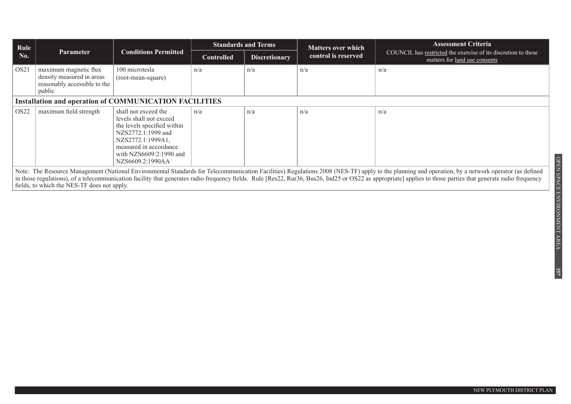| Rule             |                                                                                                                                                                                                                                                                                                                                                                                                                                                                    |                                                                                                                                                                                                    | <b>Standards and Terms</b> |                                             | <b>Matters over which</b>                                                                       | <b>Assessment Criteria</b> |  |  |  |  |
|------------------|--------------------------------------------------------------------------------------------------------------------------------------------------------------------------------------------------------------------------------------------------------------------------------------------------------------------------------------------------------------------------------------------------------------------------------------------------------------------|----------------------------------------------------------------------------------------------------------------------------------------------------------------------------------------------------|----------------------------|---------------------------------------------|-------------------------------------------------------------------------------------------------|----------------------------|--|--|--|--|
| No.              | <b>Parameter</b>                                                                                                                                                                                                                                                                                                                                                                                                                                                   | <b>Conditions Permitted</b>                                                                                                                                                                        | <b>Controlled</b>          | control is reserved<br><b>Discretionary</b> | COUNCIL has restricted the exercise of its discretion to these<br>matters for land use consents |                            |  |  |  |  |
| OS <sub>21</sub> | maximum magnetic flux<br>density measured in areas<br>reasonably accessible to the<br>public                                                                                                                                                                                                                                                                                                                                                                       | 100 microtesla<br>(root-mean-square)                                                                                                                                                               | n/a                        | n/a                                         | n/a                                                                                             | n/a                        |  |  |  |  |
|                  | <b>Installation and operation of COMMUNICATION FACILITIES</b>                                                                                                                                                                                                                                                                                                                                                                                                      |                                                                                                                                                                                                    |                            |                                             |                                                                                                 |                            |  |  |  |  |
| OS <sub>22</sub> | maximum field strength                                                                                                                                                                                                                                                                                                                                                                                                                                             | shall not exceed the<br>levels shall not exceed<br>the levels specified within<br>NZS2772.1:1999 and<br>NZS2772.1:1999A1,<br>measured in accordance<br>with NZS6609:2:1990 and<br>NZS6609.2:1990AA | n/a                        | n/a                                         | n/a                                                                                             | n/a                        |  |  |  |  |
|                  | Note: The Resource Management (National Environmental Standards for Telecommunication Facilities) Regulations 2008 (NES-TF) apply to the planning and operation, by a network operator (as defined<br>in those regulations), of a telecommunication facility that generates radio frequency fields. Rule [Res22, Rur36, Bus26, Ind25 or OS22 as appropriate] applies to those parties that generate radio frequency<br>fields, to which the NES-TF does not apply. |                                                                                                                                                                                                    |                            |                                             |                                                                                                 |                            |  |  |  |  |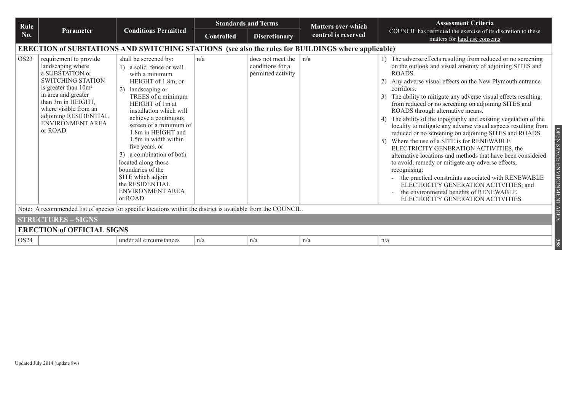| Rule             |                                                                                                                                                                                                                                                            | <b>Conditions Permitted</b><br><b>Parameter</b>                                                                                                                                                                                                                                                                                                                                                                                                            | <b>Standards and Terms</b> |                                                             | <b>Matters over which</b> | <b>Assessment Criteria</b>                                                                                                                                                                                                                                                                                                                                                                                                                                                                                                                                                                                                                                                                                                                                                                                                                                                                                                                                                                       |  |  |  |  |
|------------------|------------------------------------------------------------------------------------------------------------------------------------------------------------------------------------------------------------------------------------------------------------|------------------------------------------------------------------------------------------------------------------------------------------------------------------------------------------------------------------------------------------------------------------------------------------------------------------------------------------------------------------------------------------------------------------------------------------------------------|----------------------------|-------------------------------------------------------------|---------------------------|--------------------------------------------------------------------------------------------------------------------------------------------------------------------------------------------------------------------------------------------------------------------------------------------------------------------------------------------------------------------------------------------------------------------------------------------------------------------------------------------------------------------------------------------------------------------------------------------------------------------------------------------------------------------------------------------------------------------------------------------------------------------------------------------------------------------------------------------------------------------------------------------------------------------------------------------------------------------------------------------------|--|--|--|--|
| No.              |                                                                                                                                                                                                                                                            |                                                                                                                                                                                                                                                                                                                                                                                                                                                            | <b>Controlled</b>          | <b>Discretionary</b>                                        | control is reserved       | COUNCIL has restricted the exercise of its discretion to these<br>matters for land use consents                                                                                                                                                                                                                                                                                                                                                                                                                                                                                                                                                                                                                                                                                                                                                                                                                                                                                                  |  |  |  |  |
|                  | ERECTION of SUBSTATIONS AND SWITCHING STATIONS (see also the rules for BUILDINGS where applicable)                                                                                                                                                         |                                                                                                                                                                                                                                                                                                                                                                                                                                                            |                            |                                                             |                           |                                                                                                                                                                                                                                                                                                                                                                                                                                                                                                                                                                                                                                                                                                                                                                                                                                                                                                                                                                                                  |  |  |  |  |
| OS <sub>23</sub> | requirement to provide<br>landscaping where<br>a SUBSTATION or<br><b>SWITCHING STATION</b><br>is greater than $10m^2$<br>in area and greater<br>than 3m in HEIGHT,<br>where visible from an<br>adjoining RESIDENTIAL<br><b>ENVIRONMENT AREA</b><br>or ROAD | shall be screened by:<br>1) a solid fence or wall<br>with a minimum<br>HEIGHT of 1.8m, or<br>2) landscaping or<br>TREES of a minimum<br>HEIGHT of 1m at<br>installation which will<br>achieve a continuous<br>screen of a minimum of<br>1.8m in HEIGHT and<br>1.5m in width within<br>five years, or<br>3) a combination of both<br>located along those<br>boundaries of the<br>SITE which adjoin<br>the RESIDENTIAL<br><b>ENVIRONMENT AREA</b><br>or ROAD | n/a                        | does not meet the<br>conditions for a<br>permitted activity | n/a                       | 1) The adverse effects resulting from reduced or no screening<br>on the outlook and visual amenity of adjoining SITES and<br>ROADS.<br>Any adverse visual effects on the New Plymouth entrance<br>corridors.<br>The ability to mitigate any adverse visual effects resulting<br>3 <sup>)</sup><br>from reduced or no screening on adjoining SITES and<br>ROADS through alternative means.<br>The ability of the topography and existing vegetation of the<br>locality to mitigate any adverse visual aspects resulting from<br>reduced or no screening on adjoining SITES and ROADS.<br>Where the use of a SITE is for RENEWABLE<br>ELECTRICITY GENERATION ACTIVITIES, the<br>alternative locations and methods that have been considered<br>to avoid, remedy or mitigate any adverse effects,<br>recognising:<br>the practical constraints associated with RENEWABLE<br>ELECTRICITY GENERATION ACTIVITIES; and<br>the environmental benefits of RENEWABLE<br>ELECTRICITY GENERATION ACTIVITIES. |  |  |  |  |
|                  |                                                                                                                                                                                                                                                            | Note: A recommended list of species for specific locations within the district is available from the COUNCIL.                                                                                                                                                                                                                                                                                                                                              |                            |                                                             |                           |                                                                                                                                                                                                                                                                                                                                                                                                                                                                                                                                                                                                                                                                                                                                                                                                                                                                                                                                                                                                  |  |  |  |  |
|                  | <b>STRUCTURES - SIGNS</b>                                                                                                                                                                                                                                  |                                                                                                                                                                                                                                                                                                                                                                                                                                                            |                            |                                                             |                           |                                                                                                                                                                                                                                                                                                                                                                                                                                                                                                                                                                                                                                                                                                                                                                                                                                                                                                                                                                                                  |  |  |  |  |
|                  | <b>ERECTION of OFFICIAL SIGNS</b>                                                                                                                                                                                                                          |                                                                                                                                                                                                                                                                                                                                                                                                                                                            |                            |                                                             |                           |                                                                                                                                                                                                                                                                                                                                                                                                                                                                                                                                                                                                                                                                                                                                                                                                                                                                                                                                                                                                  |  |  |  |  |
| OS24             |                                                                                                                                                                                                                                                            | under all circumstances                                                                                                                                                                                                                                                                                                                                                                                                                                    | n/a                        | n/a                                                         | n/a                       | n/a                                                                                                                                                                                                                                                                                                                                                                                                                                                                                                                                                                                                                                                                                                                                                                                                                                                                                                                                                                                              |  |  |  |  |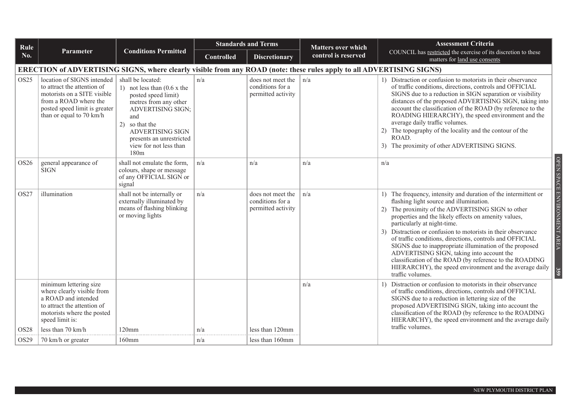| Rule                     |                                                                                                                                                                                                        |                                                                                                                                                                                                                                                       | <b>Standards and Terms</b> | <b>Matters over which</b>                                   | <b>Assessment Criteria</b>                                                                                            |                                                                                                                                                                                                                                                                                                                                                                                                                                                                                                                                                                                                                                                                            |
|--------------------------|--------------------------------------------------------------------------------------------------------------------------------------------------------------------------------------------------------|-------------------------------------------------------------------------------------------------------------------------------------------------------------------------------------------------------------------------------------------------------|----------------------------|-------------------------------------------------------------|-----------------------------------------------------------------------------------------------------------------------|----------------------------------------------------------------------------------------------------------------------------------------------------------------------------------------------------------------------------------------------------------------------------------------------------------------------------------------------------------------------------------------------------------------------------------------------------------------------------------------------------------------------------------------------------------------------------------------------------------------------------------------------------------------------------|
| No.                      | Parameter                                                                                                                                                                                              | <b>Conditions Permitted</b>                                                                                                                                                                                                                           | <b>Controlled</b>          | <b>Discretionary</b>                                        | control is reserved                                                                                                   | COUNCIL has restricted the exercise of its discretion to these<br>matters for land use consents                                                                                                                                                                                                                                                                                                                                                                                                                                                                                                                                                                            |
|                          |                                                                                                                                                                                                        |                                                                                                                                                                                                                                                       |                            |                                                             | ERECTION of ADVERTISING SIGNS, where clearly visible from any ROAD (note: these rules apply to all ADVERTISING SIGNS) |                                                                                                                                                                                                                                                                                                                                                                                                                                                                                                                                                                                                                                                                            |
| OS <sub>25</sub>         | location of SIGNS intended<br>to attract the attention of<br>motorists on a SITE visible<br>from a ROAD where the<br>posted speed limit is greater<br>than or equal to 70 km/h                         | shall be located:<br>1) not less than $(0.6 \times$ the<br>posted speed limit)<br>metres from any other<br><b>ADVERTISING SIGN;</b><br>and<br>2) so that the<br><b>ADVERTISING SIGN</b><br>presents an unrestricted<br>view for not less than<br>180m | n/a                        | does not meet the<br>conditions for a<br>permitted activity | n/a                                                                                                                   | 1) Distraction or confusion to motorists in their observance<br>of traffic conditions, directions, controls and OFFICIAL<br>SIGNS due to a reduction in SIGN separation or visibility<br>distances of the proposed ADVERTISING SIGN, taking into<br>account the classification of the ROAD (by reference to the<br>ROADING HIERARCHY), the speed environment and the<br>average daily traffic volumes.<br>2) The topography of the locality and the contour of the<br>ROAD.<br>3) The proximity of other ADVERTISING SIGNS.                                                                                                                                                |
| OS <sub>26</sub>         | general appearance of<br><b>SIGN</b>                                                                                                                                                                   | shall not emulate the form,<br>colours, shape or message<br>of any OFFICIAL SIGN or<br>signal                                                                                                                                                         | n/a                        | n/a                                                         | n/a                                                                                                                   | n/a                                                                                                                                                                                                                                                                                                                                                                                                                                                                                                                                                                                                                                                                        |
| OS <sub>27</sub>         | illumination                                                                                                                                                                                           | shall not be internally or<br>externally illuminated by<br>means of flashing blinking<br>or moving lights                                                                                                                                             | n/a                        | does not meet the<br>conditions for a<br>permitted activity | n/a                                                                                                                   | OPEN SPACE ENVIRONMENT AREA<br>1) The frequency, intensity and duration of the intermittent or<br>flashing light source and illumination.<br>2) The proximity of the ADVERTISING SIGN to other<br>properties and the likely effects on amenity values,<br>particularly at night-time.<br>3) Distraction or confusion to motorists in their observance<br>of traffic conditions, directions, controls and OFFICIAL<br>SIGNS due to inappropriate illumination of the proposed<br>ADVERTISING SIGN, taking into account the<br>classification of the ROAD (by reference to the ROADING<br>HIERARCHY), the speed environment and the average daily<br>359<br>traffic volumes. |
| OS28<br>OS <sub>29</sub> | minimum lettering size<br>where clearly visible from<br>a ROAD and intended<br>to attract the attention of<br>motorists where the posted<br>speed limit is:<br>less than 70 km/h<br>70 km/h or greater | $120$ mm<br>$160$ mm                                                                                                                                                                                                                                  | n/a<br>n/a                 | less than 120mm<br>less than 160mm                          | n/a                                                                                                                   | 1) Distraction or confusion to motorists in their observance<br>of traffic conditions, directions, controls and OFFICIAL<br>SIGNS due to a reduction in lettering size of the<br>proposed ADVERTISING SIGN, taking into account the<br>classification of the ROAD (by reference to the ROADING<br>HIERARCHY), the speed environment and the average daily<br>traffic volumes.                                                                                                                                                                                                                                                                                              |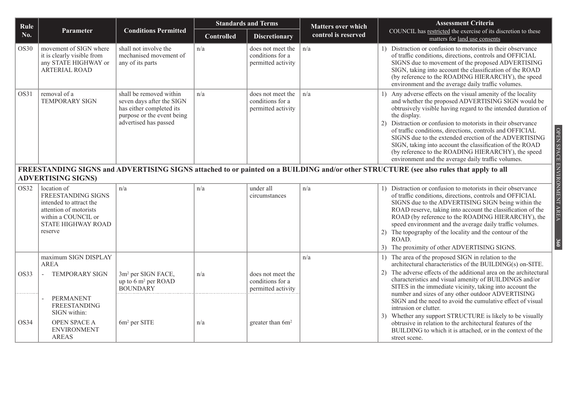| Rule        |                                                                                                                                                       |                                                                                                                                         | <b>Standards and Terms</b> |                                                             | <b>Matters over which</b> | <b>Assessment Criteria</b>                                                                                                                                                                                                                                                                                                                                                                                                                                                                                                                                                           |  |
|-------------|-------------------------------------------------------------------------------------------------------------------------------------------------------|-----------------------------------------------------------------------------------------------------------------------------------------|----------------------------|-------------------------------------------------------------|---------------------------|--------------------------------------------------------------------------------------------------------------------------------------------------------------------------------------------------------------------------------------------------------------------------------------------------------------------------------------------------------------------------------------------------------------------------------------------------------------------------------------------------------------------------------------------------------------------------------------|--|
| No.         | Parameter                                                                                                                                             | <b>Conditions Permitted</b>                                                                                                             | Controlled                 | <b>Discretionary</b>                                        | control is reserved       | COUNCIL has restricted the exercise of its discretion to these<br>matters for land use consents                                                                                                                                                                                                                                                                                                                                                                                                                                                                                      |  |
| OS30        | movement of SIGN where<br>it is clearly visible from<br>any STATE HIGHWAY or<br>ARTERIAL ROAD                                                         | shall not involve the<br>mechanised movement of<br>any of its parts                                                                     | n/a                        | does not meet the<br>conditions for a<br>permitted activity | n/a                       | 1) Distraction or confusion to motorists in their observance<br>of traffic conditions, directions, controls and OFFICIAL<br>SIGNS due to movement of the proposed ADVERTISING<br>SIGN, taking into account the classification of the ROAD<br>(by reference to the ROADING HIERARCHY), the speed<br>environment and the average daily traffic volumes.                                                                                                                                                                                                                                |  |
| OS31        | removal of a<br><b>TEMPORARY SIGN</b>                                                                                                                 | shall be removed within<br>seven days after the SIGN<br>has either completed its<br>purpose or the event being<br>advertised has passed | n/a                        | does not meet the<br>conditions for a<br>permitted activity | n/a                       | Any adverse effects on the visual amenity of the locality<br>$\left( \right)$<br>and whether the proposed ADVERTISING SIGN would be<br>obtrusively visible having regard to the intended duration of<br>the display.<br>Distraction or confusion to motorists in their observance<br>2)<br>of traffic conditions, directions, controls and OFFICIAL<br>SIGNS due to the extended erection of the ADVERTISING<br>SIGN, taking into account the classification of the ROAD<br>(by reference to the ROADING HIERARCHY), the speed<br>environment and the average daily traffic volumes. |  |
|             | <b>ADVERTISING SIGNS)</b>                                                                                                                             |                                                                                                                                         |                            |                                                             |                           | FREESTANDING SIGNS and ADVERTISING SIGNS attached to or painted on a BUILDING and/or other STRUCTURE (see also rules that apply to all                                                                                                                                                                                                                                                                                                                                                                                                                                               |  |
| <b>OS32</b> | location of<br>FREESTANDING SIGNS<br>intended to attract the<br>attention of motorists<br>within a COUNCIL or<br><b>STATE HIGHWAY ROAD</b><br>reserve | n/a                                                                                                                                     | n/a                        | under all<br>circumstances                                  | n/a                       | 1) Distraction or confusion to motorists in their observance<br>of traffic conditions, directions, controls and OFFICIAL<br>SIGNS due to the ADVERTISING SIGN being within the<br>ROAD reserve, taking into account the classification of the<br>ROAD (by reference to the ROADING HIERARCHY), the<br>speed environment and the average daily traffic volumes.<br>The topography of the locality and the contour of the<br>2)<br>ROAD.<br>The proximity of other ADVERTISING SIGNS.                                                                                                  |  |
| OS33        | maximum SIGN DISPLAY<br><b>AREA</b><br><b>TEMPORARY SIGN</b><br>$\overline{a}$                                                                        | 3m <sup>2</sup> per SIGN FACE,<br>up to 6 m <sup>2</sup> per ROAD<br><b>BOUNDARY</b>                                                    | n/a                        | does not meet the<br>conditions for a<br>permitted activity | n/a                       | 1) The area of the proposed SIGN in relation to the<br>architectural characteristics of the BUILDING(s) on-SITE.<br>The adverse effects of the additional area on the architectural<br>2)<br>characteristics and visual amenity of BUILDINGS and/or<br>SITES in the immediate vicinity, taking into account the                                                                                                                                                                                                                                                                      |  |
| OS34        | PERMANENT<br><b>FREESTANDING</b><br>SIGN within:<br>OPEN SPACE A<br><b>ENVIRONMENT</b><br><b>AREAS</b>                                                | $6m2$ per SITE                                                                                                                          | n/a                        | greater than $6m^2$                                         |                           | number and sizes of any other outdoor ADVERTISING<br>SIGN and the need to avoid the cumulative effect of visual<br>intrusion or clutter.<br>Whether any support STRUCTURE is likely to be visually<br>3)<br>obtrusive in relation to the architectural features of the<br>BUILDING to which it is attached, or in the context of the<br>street scene.                                                                                                                                                                                                                                |  |

OPEN SPACE ENVIRONMENT AREA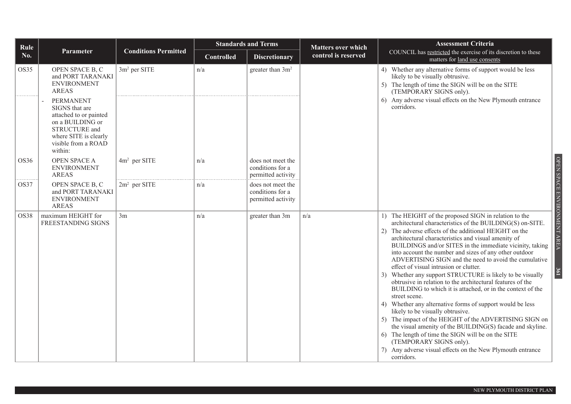| Rule        |                                                                                                                                                              |                             | <b>Standards and Terms</b> |                                                             | <b>Matters over which</b> | <b>Assessment Criteria</b>                                                                                                                                                                                                                                                                                                                                                                                                                                                                                                                                                                                                                                                                                                                                                                                                                                                                                                                                                                                                                                        |  |
|-------------|--------------------------------------------------------------------------------------------------------------------------------------------------------------|-----------------------------|----------------------------|-------------------------------------------------------------|---------------------------|-------------------------------------------------------------------------------------------------------------------------------------------------------------------------------------------------------------------------------------------------------------------------------------------------------------------------------------------------------------------------------------------------------------------------------------------------------------------------------------------------------------------------------------------------------------------------------------------------------------------------------------------------------------------------------------------------------------------------------------------------------------------------------------------------------------------------------------------------------------------------------------------------------------------------------------------------------------------------------------------------------------------------------------------------------------------|--|
| No.         | Parameter                                                                                                                                                    | <b>Conditions Permitted</b> | <b>Controlled</b>          | <b>Discretionary</b>                                        | control is reserved       | COUNCIL has restricted the exercise of its discretion to these<br>matters for land use consents                                                                                                                                                                                                                                                                                                                                                                                                                                                                                                                                                                                                                                                                                                                                                                                                                                                                                                                                                                   |  |
| <b>OS35</b> | OPEN SPACE B, C<br>and PORT TARANAKI<br><b>ENVIRONMENT</b><br><b>AREAS</b>                                                                                   | 3m <sup>2</sup> per SITE    | n/a                        | greater than 3m <sup>2</sup>                                |                           | 4) Whether any alternative forms of support would be less<br>likely to be visually obtrusive.<br>5) The length of time the SIGN will be on the SITE<br>(TEMPORARY SIGNS only).                                                                                                                                                                                                                                                                                                                                                                                                                                                                                                                                                                                                                                                                                                                                                                                                                                                                                    |  |
|             | <b>PERMANENT</b><br>SIGNS that are<br>attached to or painted<br>on a BUILDING or<br>STRUCTURE and<br>where SITE is clearly<br>visible from a ROAD<br>within: |                             |                            |                                                             |                           | Any adverse visual effects on the New Plymouth entrance<br>corridors.                                                                                                                                                                                                                                                                                                                                                                                                                                                                                                                                                                                                                                                                                                                                                                                                                                                                                                                                                                                             |  |
| OS36        | OPEN SPACE A<br><b>ENVIRONMENT</b><br><b>AREAS</b>                                                                                                           | $4m2$ per SITE              | n/a                        | does not meet the<br>conditions for a<br>permitted activity |                           |                                                                                                                                                                                                                                                                                                                                                                                                                                                                                                                                                                                                                                                                                                                                                                                                                                                                                                                                                                                                                                                                   |  |
| OS37        | OPEN SPACE B, C<br>and PORT TARANAKI<br><b>ENVIRONMENT</b><br><b>AREAS</b>                                                                                   | $2m2$ per SITE              | n/a                        | does not meet the<br>conditions for a<br>permitted activity |                           |                                                                                                                                                                                                                                                                                                                                                                                                                                                                                                                                                                                                                                                                                                                                                                                                                                                                                                                                                                                                                                                                   |  |
| <b>OS38</b> | maximum HEIGHT for<br>FREESTANDING SIGNS                                                                                                                     | 3m                          | n/a                        | greater than 3m                                             | n/a                       | 1) The HEIGHT of the proposed SIGN in relation to the<br>architectural characteristics of the BUILDING(S) on-SITE.<br>The adverse effects of the additional HEIGHT on the<br>2)<br>architectural characteristics and visual amenity of<br>BUILDINGS and/or SITES in the immediate vicinity, taking<br>into account the number and sizes of any other outdoor<br>ADVERTISING SIGN and the need to avoid the cumulative<br>effect of visual intrusion or clutter.<br>Whether any support STRUCTURE is likely to be visually<br>obtrusive in relation to the architectural features of the<br>BUILDING to which it is attached, or in the context of the<br>street scene.<br>Whether any alternative forms of support would be less<br>4)<br>likely to be visually obtrusive.<br>The impact of the HEIGHT of the ADVERTISING SIGN on<br>5)<br>the visual amenity of the BUILDING(S) facade and skyline.<br>The length of time the SIGN will be on the SITE<br>6)<br>(TEMPORARY SIGNS only).<br>Any adverse visual effects on the New Plymouth entrance<br>corridors. |  |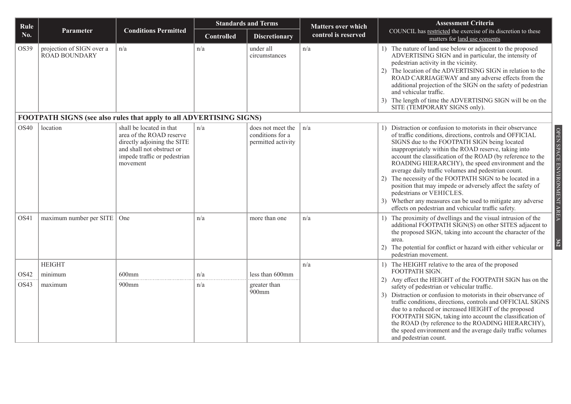| Rule             |                                            |                                                                                                                                                              |                   | <b>Standards and Terms</b>                                  | <b>Matters over which</b> | <b>Assessment Criteria</b>                                                                                                                                                                                                                                                                                                                                                                                                                                                                                                                                                                                                                                                                                             |
|------------------|--------------------------------------------|--------------------------------------------------------------------------------------------------------------------------------------------------------------|-------------------|-------------------------------------------------------------|---------------------------|------------------------------------------------------------------------------------------------------------------------------------------------------------------------------------------------------------------------------------------------------------------------------------------------------------------------------------------------------------------------------------------------------------------------------------------------------------------------------------------------------------------------------------------------------------------------------------------------------------------------------------------------------------------------------------------------------------------------|
| No.              | Parameter                                  | <b>Conditions Permitted</b>                                                                                                                                  | <b>Controlled</b> | <b>Discretionary</b>                                        | control is reserved       | COUNCIL has restricted the exercise of its discretion to these<br>matters for land use consents                                                                                                                                                                                                                                                                                                                                                                                                                                                                                                                                                                                                                        |
| OS39             | projection of SIGN over a<br>ROAD BOUNDARY | n/a                                                                                                                                                          | n/a               | under all<br>circumstances                                  | n/a                       | 1) The nature of land use below or adjacent to the proposed<br>ADVERTISING SIGN and in particular, the intensity of<br>pedestrian activity in the vicinity.<br>2) The location of the ADVERTISING SIGN in relation to the<br>ROAD CARRIAGEWAY and any adverse effects from the<br>additional projection of the SIGN on the safety of pedestrian<br>and vehicular traffic.<br>3) The length of time the ADVERTISING SIGN will be on the<br>SITE (TEMPORARY SIGNS only).                                                                                                                                                                                                                                                 |
|                  |                                            | FOOTPATH SIGNS (see also rules that apply to all ADVERTISING SIGNS)                                                                                          |                   |                                                             |                           |                                                                                                                                                                                                                                                                                                                                                                                                                                                                                                                                                                                                                                                                                                                        |
| OS40             | location                                   | shall be located in that<br>area of the ROAD reserve<br>directly adjoining the SITE<br>and shall not obstruct or<br>impede traffic or pedestrian<br>movement | n/a               | does not meet the<br>conditions for a<br>permitted activity | n/a                       | 1) Distraction or confusion to motorists in their observance<br>OPEN SPACE ENVIRONMENT AREA<br>of traffic conditions, directions, controls and OFFICIAL<br>SIGNS due to the FOOTPATH SIGN being located<br>inappropriately within the ROAD reserve, taking into<br>account the classification of the ROAD (by reference to the<br>ROADING HIERARCHY), the speed environment and the<br>average daily traffic volumes and pedestrian count.<br>2) The necessity of the FOOTPATH SIGN to be located in a<br>position that may impede or adversely affect the safety of<br>pedestrians or VEHICLES.<br>3) Whether any measures can be used to mitigate any adverse<br>effects on pedestrian and vehicular traffic safety. |
| OS41             | maximum number per SITE   One              |                                                                                                                                                              | n/a               | more than one                                               | n/a                       | 1) The proximity of dwellings and the visual intrusion of the<br>additional FOOTPATH SIGN(S) on other SITES adjacent to<br>the proposed SIGN, taking into account the character of the<br>area.<br>$\frac{62}{362}$<br>2) The potential for conflict or hazard with either vehicular or<br>pedestrian movement.                                                                                                                                                                                                                                                                                                                                                                                                        |
|                  | <b>HEIGHT</b>                              |                                                                                                                                                              |                   |                                                             | n/a                       | 1) The HEIGHT relative to the area of the proposed                                                                                                                                                                                                                                                                                                                                                                                                                                                                                                                                                                                                                                                                     |
| OS <sub>42</sub> | minimum                                    | $600$ mm                                                                                                                                                     | n/a               | less than 600mm                                             |                           | FOOTPATH SIGN.<br>2) Any effect the HEIGHT of the FOOTPATH SIGN has on the                                                                                                                                                                                                                                                                                                                                                                                                                                                                                                                                                                                                                                             |
| OS43             | maximum                                    | 900mm                                                                                                                                                        | n/a               | greater than<br>900mm                                       |                           | safety of pedestrian or vehicular traffic.<br>3) Distraction or confusion to motorists in their observance of<br>traffic conditions, directions, controls and OFFICIAL SIGNS<br>due to a reduced or increased HEIGHT of the proposed<br>FOOTPATH SIGN, taking into account the classification of<br>the ROAD (by reference to the ROADING HIERARCHY),<br>the speed environment and the average daily traffic volumes<br>and pedestrian count.                                                                                                                                                                                                                                                                          |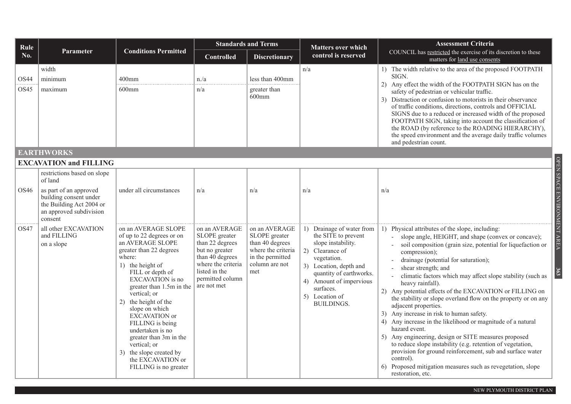| Rule         |                                                                                                                                                              |                                                                                                                                                                                                                                                                                                                                                                                                                                            | <b>Standards and Terms</b>                                                                                                                                       |                                                                                                                      | <b>Matters over which</b>                                                                                                                                                                                                                    | <b>Assessment Criteria</b>                                                                                                                                                                                                                                                                                                                                                                                                                                                                                                                                                                                                                                                                                                                                                                                                                                                                                    |  |  |  |  |  |
|--------------|--------------------------------------------------------------------------------------------------------------------------------------------------------------|--------------------------------------------------------------------------------------------------------------------------------------------------------------------------------------------------------------------------------------------------------------------------------------------------------------------------------------------------------------------------------------------------------------------------------------------|------------------------------------------------------------------------------------------------------------------------------------------------------------------|----------------------------------------------------------------------------------------------------------------------|----------------------------------------------------------------------------------------------------------------------------------------------------------------------------------------------------------------------------------------------|---------------------------------------------------------------------------------------------------------------------------------------------------------------------------------------------------------------------------------------------------------------------------------------------------------------------------------------------------------------------------------------------------------------------------------------------------------------------------------------------------------------------------------------------------------------------------------------------------------------------------------------------------------------------------------------------------------------------------------------------------------------------------------------------------------------------------------------------------------------------------------------------------------------|--|--|--|--|--|
| No.          | <b>Parameter</b>                                                                                                                                             | <b>Conditions Permitted</b>                                                                                                                                                                                                                                                                                                                                                                                                                | <b>Controlled</b>                                                                                                                                                | <b>Discretionary</b>                                                                                                 | control is reserved                                                                                                                                                                                                                          | COUNCIL has restricted the exercise of its discretion to these<br>matters for land use consents                                                                                                                                                                                                                                                                                                                                                                                                                                                                                                                                                                                                                                                                                                                                                                                                               |  |  |  |  |  |
| OS44<br>OS45 | width<br>minimum<br>maximum                                                                                                                                  | $400$ mm<br>$600$ mm                                                                                                                                                                                                                                                                                                                                                                                                                       | n/a<br>n/a                                                                                                                                                       | less than 400mm<br>greater than<br>$600$ mm                                                                          | n/a                                                                                                                                                                                                                                          | 1) The width relative to the area of the proposed FOOTPATH<br>SIGN.<br>2) Any effect the width of the FOOTPATH SIGN has on the<br>safety of pedestrian or vehicular traffic.<br>3) Distraction or confusion to motorists in their observance<br>of traffic conditions, directions, controls and OFFICIAL<br>SIGNS due to a reduced or increased width of the proposed<br>FOOTPATH SIGN, taking into account the classification of<br>the ROAD (by reference to the ROADING HIERARCHY),<br>the speed environment and the average daily traffic volumes<br>and pedestrian count.                                                                                                                                                                                                                                                                                                                                |  |  |  |  |  |
|              | <b>EARTHWORKS</b>                                                                                                                                            |                                                                                                                                                                                                                                                                                                                                                                                                                                            |                                                                                                                                                                  |                                                                                                                      |                                                                                                                                                                                                                                              |                                                                                                                                                                                                                                                                                                                                                                                                                                                                                                                                                                                                                                                                                                                                                                                                                                                                                                               |  |  |  |  |  |
|              | <b>EXCAVATION and FILLING</b>                                                                                                                                |                                                                                                                                                                                                                                                                                                                                                                                                                                            |                                                                                                                                                                  |                                                                                                                      |                                                                                                                                                                                                                                              |                                                                                                                                                                                                                                                                                                                                                                                                                                                                                                                                                                                                                                                                                                                                                                                                                                                                                                               |  |  |  |  |  |
| OS46         | restrictions based on slope<br>of land<br>as part of an approved<br>building consent under<br>the Building Act 2004 or<br>an approved subdivision<br>consent | under all circumstances                                                                                                                                                                                                                                                                                                                                                                                                                    | n/a                                                                                                                                                              | n/a                                                                                                                  | n/a                                                                                                                                                                                                                                          | n/a                                                                                                                                                                                                                                                                                                                                                                                                                                                                                                                                                                                                                                                                                                                                                                                                                                                                                                           |  |  |  |  |  |
| OS47         | all other EXCAVATION<br>and FILLING<br>on a slope                                                                                                            | on an AVERAGE SLOPE<br>of up to 22 degrees or on<br>an AVERAGE SLOPE<br>greater than 22 degrees<br>where:<br>1) the height of<br>FILL or depth of<br>EXCAVATION is no<br>greater than 1.5m in the<br>vertical; or<br>the height of the<br>2)<br>slope on which<br>EXCAVATION or<br>FILLING is being<br>undertaken is no<br>greater than 3m in the<br>vertical; or<br>3) the slope created by<br>the EXCAVATION or<br>FILLING is no greater | on an AVERAGE<br>SLOPE greater<br>than 22 degrees<br>but no greater<br>than 40 degrees<br>where the criteria<br>listed in the<br>permitted column<br>are not met | on an AVERAGE<br>SLOPE greater<br>than 40 degrees<br>where the criteria<br>in the permitted<br>column are not<br>met | 1) Drainage of water from<br>the SITE to prevent<br>slope instability.<br>2) Clearance of<br>vegetation.<br>3) Location, depth and<br>quantity of earthworks.<br>4) Amount of impervious<br>surfaces.<br>5) Location of<br><b>BUILDINGS.</b> | 1) Physical attributes of the slope, including:<br>slope angle, HEIGHT, and shape (convex or concave);<br>soil composition (grain size, potential for liquefaction or<br>compression);<br>drainage (potential for saturation);<br>shear strength; and<br>climatic factors which may affect slope stability (such as<br>heavy rainfall).<br>2) Any potential effects of the EXCAVATION or FILLING on<br>the stability or slope overland flow on the property or on any<br>adjacent properties.<br>3) Any increase in risk to human safety.<br>4) Any increase in the likelihood or magnitude of a natural<br>hazard event.<br>5) Any engineering, design or SITE measures proposed<br>to reduce slope instability (e.g. retention of vegetation,<br>provision for ground reinforcement, sub and surface water<br>control).<br>6) Proposed mitigation measures such as revegetation, slope<br>restoration, etc. |  |  |  |  |  |

OPEN SPACE ENVIRONMENT AREA OPEN SPACE ENVIRONMENT AREA **363**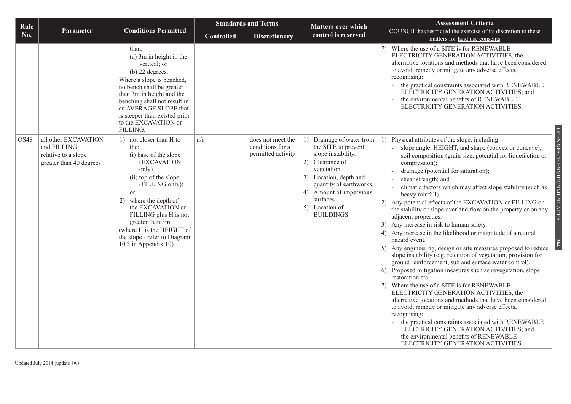| Rule             |                                                               |                                                                                                                                                                                                                                                                                                                       | <b>Standards and Terms</b> |                                        | <b>Matters over which</b>                                                                                                                                                                                       | <b>Assessment Criteria</b>                                                                                                                                                                                                                                                                                                                                                                                                                                                                                                                                                                                                                                                                                                                                                                                                                                                                                                                                                                                                                                                                                                                                                                                                                                                                              |
|------------------|---------------------------------------------------------------|-----------------------------------------------------------------------------------------------------------------------------------------------------------------------------------------------------------------------------------------------------------------------------------------------------------------------|----------------------------|----------------------------------------|-----------------------------------------------------------------------------------------------------------------------------------------------------------------------------------------------------------------|---------------------------------------------------------------------------------------------------------------------------------------------------------------------------------------------------------------------------------------------------------------------------------------------------------------------------------------------------------------------------------------------------------------------------------------------------------------------------------------------------------------------------------------------------------------------------------------------------------------------------------------------------------------------------------------------------------------------------------------------------------------------------------------------------------------------------------------------------------------------------------------------------------------------------------------------------------------------------------------------------------------------------------------------------------------------------------------------------------------------------------------------------------------------------------------------------------------------------------------------------------------------------------------------------------|
| No.              | <b>Parameter</b>                                              | <b>Conditions Permitted</b>                                                                                                                                                                                                                                                                                           | <b>Controlled</b>          | <b>Discretionary</b>                   | control is reserved                                                                                                                                                                                             | COUNCIL has restricted the exercise of its discretion to these<br>matters for land use consents                                                                                                                                                                                                                                                                                                                                                                                                                                                                                                                                                                                                                                                                                                                                                                                                                                                                                                                                                                                                                                                                                                                                                                                                         |
| OS <sub>48</sub> | all other EXCAVATION                                          | than:<br>(a) 3m in height in the<br>vertical; or<br>$(b)$ 22 degrees.<br>Where a slope is benched,<br>no bench shall be greater<br>than 3m in height and the<br>benching shall not result in<br>an AVERAGE SLOPE that<br>is steeper than existed prior<br>to the EXCAVATION or<br>FILLING.<br>1) not closer than H to | n/a                        | does not meet the                      | 1) Drainage of water from                                                                                                                                                                                       | 7) Where the use of a SITE is for RENEWABLE<br>ELECTRICITY GENERATION ACTIVITIES, the<br>alternative locations and methods that have been considered<br>to avoid, remedy or mitigate any adverse effects,<br>recognising:<br>the practical constraints associated with RENEWABLE<br>$\mathbf{r}$<br>ELECTRICITY GENERATION ACTIVITIES; and<br>the environmental benefits of RENEWABLE<br>ELECTRICITY GENERATION ACTIVITIES.<br>1) Physical attributes of the slope, including:                                                                                                                                                                                                                                                                                                                                                                                                                                                                                                                                                                                                                                                                                                                                                                                                                          |
|                  | and FILLING<br>relative to a slope<br>greater than 40 degrees | the:<br>(i) base of the slope<br>(EXCAVATION<br>only)<br>(ii) top of the slope<br>(FILLING only);<br><sub>or</sub><br>2) where the depth of<br>the EXCAVATION or<br>FILLING plus H is not<br>greater than 3m.<br>(where H is the HEIGHT of<br>the slope - refer to Diagram<br>10.3 in Appendix 10)                    |                            | conditions for a<br>permitted activity | the SITE to prevent<br>slope instability.<br>2) Clearance of<br>vegetation.<br>3) Location, depth and<br>quantity of earthworks.<br>4) Amount of impervious<br>surfaces.<br>5) Location of<br><b>BUILDINGS.</b> | OPEN SPACE ENVIRONMENT AREA<br>slope angle, HEIGHT, and shape (convex or concave);<br>soil composition (grain size, potential for liquefaction or<br>compression);<br>drainage (potential for saturation);<br>shear strength; and<br>climatic factors which may affect slope stability (such as<br>heavy rainfall).<br>2) Any potential effects of the EXCAVATION or FILLING on<br>the stability or slope overland flow on the property or on any<br>adjacent properties.<br>3) Any increase in risk to human safety.<br>4) Any increase in the likelihood or magnitude of a natural<br>hazard event.<br>5) Any engineering, design or site measures proposed to reduce<br>slope instability (e.g. retention of vegetation, provision for<br>ground reinforcement, sub and surface water control).<br>6) Proposed mitigation measures such as revegetation, slope<br>restoration etc.<br>Where the use of a SITE is for RENEWABLE<br>7)<br>ELECTRICITY GENERATION ACTIVITIES, the<br>alternative locations and methods that have been considered<br>to avoid, remedy or mitigate any adverse effects,<br>recognising:<br>the practical constraints associated with RENEWABLE<br>ELECTRICITY GENERATION ACTIVITIES; and<br>the environmental benefits of RENEWABLE<br>ELECTRICITY GENERATION ACTIVITIES. |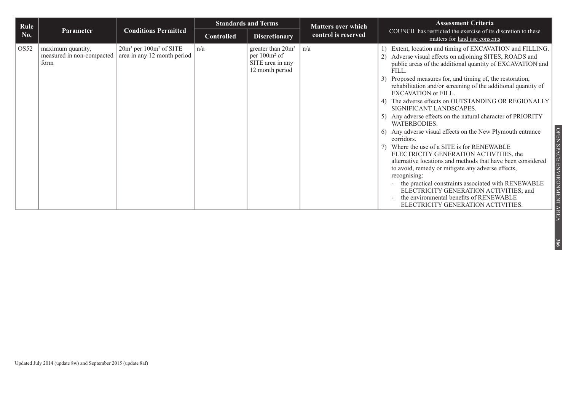| Rule             |                                                        | <b>Conditions Permitted</b>                               | <b>Standards and Terms</b> |                                                                                         | <b>Matters over which</b> | <b>Assessment Criteria</b>                                                                                                                                                                                                                                                                                                                                                                                                                                                                                                                                                                                                                                                                                                                                                                                                                                                                                                              |
|------------------|--------------------------------------------------------|-----------------------------------------------------------|----------------------------|-----------------------------------------------------------------------------------------|---------------------------|-----------------------------------------------------------------------------------------------------------------------------------------------------------------------------------------------------------------------------------------------------------------------------------------------------------------------------------------------------------------------------------------------------------------------------------------------------------------------------------------------------------------------------------------------------------------------------------------------------------------------------------------------------------------------------------------------------------------------------------------------------------------------------------------------------------------------------------------------------------------------------------------------------------------------------------------|
| No.              | <b>Parameter</b>                                       |                                                           | Controlled                 | <b>Discretionary</b>                                                                    | control is reserved       | COUNCIL has restricted the exercise of its discretion to these<br>matters for land use consents                                                                                                                                                                                                                                                                                                                                                                                                                                                                                                                                                                                                                                                                                                                                                                                                                                         |
| OS <sub>52</sub> | maximum quantity,<br>measured in non-compacted<br>form | $20m3$ per $100m2$ of SITE<br>area in any 12 month period | n/a                        | greater than $20m^3$<br>per 100m <sup>2</sup> of<br>SITE area in any<br>12 month period | n/a                       | 1) Extent, location and timing of EXCAVATION and FILLING.<br>Adverse visual effects on adjoining SITES, ROADS and<br>2)<br>public areas of the additional quantity of EXCAVATION and<br>FILL.<br>Proposed measures for, and timing of, the restoration,<br>3)<br>rehabilitation and/or screening of the additional quantity of<br><b>EXCAVATION</b> or FILL.<br>4) The adverse effects on OUTSTANDING OR REGIONALLY<br>SIGNIFICANT LANDSCAPES.<br>5) Any adverse effects on the natural character of PRIORITY<br>WATERBODIES.<br>6) Any adverse visual effects on the New Plymouth entrance<br>corridors.<br>7) Where the use of a SITE is for RENEWABLE<br>ELECTRICITY GENERATION ACTIVITIES, the<br>alternative locations and methods that have been considered<br>to avoid, remedy or mitigate any adverse effects,<br>recognising:<br>the practical constraints associated with RENEWABLE<br>ELECTRICITY GENERATION ACTIVITIES; and |
|                  |                                                        |                                                           |                            |                                                                                         |                           | the environmental benefits of RENEWABLE<br>ELECTRICITY GENERATION ACTIVITIES.                                                                                                                                                                                                                                                                                                                                                                                                                                                                                                                                                                                                                                                                                                                                                                                                                                                           |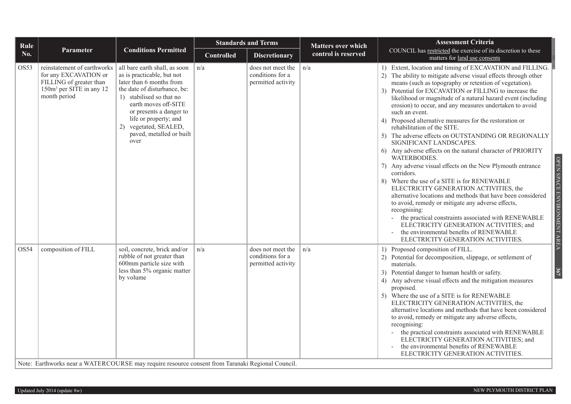| Rule |                                                                                                                                         |                                                                                                                                                                                                                                                                                              | <b>Standards and Terms</b> |                                                             | <b>Matters over which</b> | <b>Assessment Criteria</b>                                                                                                                                                                                                                                                                                                                                                                                                                                                                                                                                                                                                                                                                                                                                                                                                                                                                                                                                                                                                                                                                                                                                                            |
|------|-----------------------------------------------------------------------------------------------------------------------------------------|----------------------------------------------------------------------------------------------------------------------------------------------------------------------------------------------------------------------------------------------------------------------------------------------|----------------------------|-------------------------------------------------------------|---------------------------|---------------------------------------------------------------------------------------------------------------------------------------------------------------------------------------------------------------------------------------------------------------------------------------------------------------------------------------------------------------------------------------------------------------------------------------------------------------------------------------------------------------------------------------------------------------------------------------------------------------------------------------------------------------------------------------------------------------------------------------------------------------------------------------------------------------------------------------------------------------------------------------------------------------------------------------------------------------------------------------------------------------------------------------------------------------------------------------------------------------------------------------------------------------------------------------|
| No.  | <b>Parameter</b>                                                                                                                        | <b>Conditions Permitted</b>                                                                                                                                                                                                                                                                  | <b>Controlled</b>          | <b>Discretionary</b>                                        | control is reserved       | COUNCIL has restricted the exercise of its discretion to these<br>matters for land use consents                                                                                                                                                                                                                                                                                                                                                                                                                                                                                                                                                                                                                                                                                                                                                                                                                                                                                                                                                                                                                                                                                       |
| OS53 | reinstatement of earthworks<br>for any EXCAVATION or<br>FILLING of greater than<br>150m <sup>3</sup> per SITE in any 12<br>month period | all bare earth shall, as soon<br>as is practicable, but not<br>later than 6 months from<br>the date of disturbance, be:<br>1) stabilised so that no<br>earth moves off-SITE<br>or presents a danger to<br>life or property; and<br>2) vegetated, SEALED,<br>paved, metalled or built<br>over | n/a                        | does not meet the<br>conditions for a<br>permitted activity | n/a                       | 1) Extent, location and timing of EXCAVATION and FILLING.<br>2) The ability to mitigate adverse visual effects through other<br>means (such as topography or retention of vegetation).<br>3) Potential for EXCAVATION or FILLING to increase the<br>likelihood or magnitude of a natural hazard event (including<br>erosion) to occur, and any measures undertaken to avoid<br>such an event.<br>4) Proposed alternative measures for the restoration or<br>rehabilitation of the SITE.<br>5) The adverse effects on OUTSTANDING OR REGIONALLY<br>SIGNIFICANT LANDSCAPES.<br>6) Any adverse effects on the natural character of PRIORITY<br>WATERBODIES.<br>OPEN SPACE<br>7) Any adverse visual effects on the New Plymouth entrance<br>corridors.<br>8) Where the use of a SITE is for RENEWABLE<br>ELECTRICITY GENERATION ACTIVITIES, the<br>ENVIRONMENT AREA<br>alternative locations and methods that have been considered<br>to avoid, remedy or mitigate any adverse effects,<br>recognising:<br>the practical constraints associated with RENEWABLE<br>ELECTRICITY GENERATION ACTIVITIES; and<br>the environmental benefits of RENEWABLE<br>ELECTRICITY GENERATION ACTIVITIES. |
| OS54 | composition of FILL<br>Note: Earthworks near a WATERCOURSE may require resource consent from Taranaki Regional Council.                 | soil, concrete, brick and/or<br>rubble of not greater than<br>600mm particle size with<br>less than 5% organic matter<br>by volume                                                                                                                                                           | n/a                        | does not meet the<br>conditions for a<br>permitted activity | n/a                       | 1) Proposed composition of FILL.<br>2) Potential for decomposition, slippage, or settlement of<br>materials.<br>367<br>3) Potential danger to human health or safety.<br>4) Any adverse visual effects and the mitigation measures<br>proposed.<br>5) Where the use of a SITE is for RENEWABLE<br>ELECTRICITY GENERATION ACTIVITIES, the<br>alternative locations and methods that have been considered<br>to avoid, remedy or mitigate any adverse effects,<br>recognising:<br>the practical constraints associated with RENEWABLE<br>ELECTRICITY GENERATION ACTIVITIES; and<br>the environmental benefits of RENEWABLE<br>ELECTRICITY GENERATION ACTIVITIES.                                                                                                                                                                                                                                                                                                                                                                                                                                                                                                                        |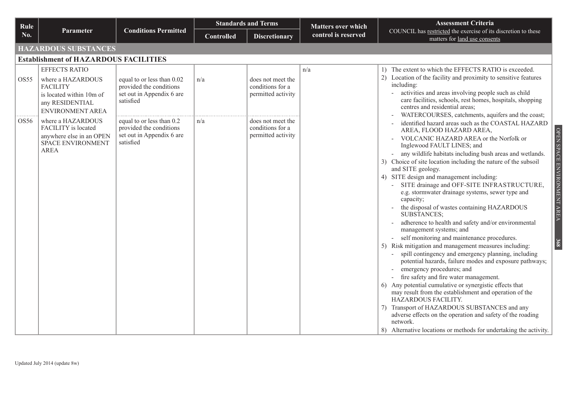| Rule |                                                                                                                                 |                                                                                                 | <b>Standards and Terms</b> |                                                             | <b>Matters over which</b> | <b>Assessment Criteria</b>                                                                                                                                                                                                                                                                                                                                                                                                                                                                                                                                                                                                                                                                                                                                                                                                                                                                                                                                                                                                                                                                                                                                                                                                                                                                                 |  |  |  |  |  |
|------|---------------------------------------------------------------------------------------------------------------------------------|-------------------------------------------------------------------------------------------------|----------------------------|-------------------------------------------------------------|---------------------------|------------------------------------------------------------------------------------------------------------------------------------------------------------------------------------------------------------------------------------------------------------------------------------------------------------------------------------------------------------------------------------------------------------------------------------------------------------------------------------------------------------------------------------------------------------------------------------------------------------------------------------------------------------------------------------------------------------------------------------------------------------------------------------------------------------------------------------------------------------------------------------------------------------------------------------------------------------------------------------------------------------------------------------------------------------------------------------------------------------------------------------------------------------------------------------------------------------------------------------------------------------------------------------------------------------|--|--|--|--|--|
| No.  | Parameter                                                                                                                       | <b>Conditions Permitted</b>                                                                     | <b>Controlled</b>          | <b>Discretionary</b>                                        | control is reserved       | COUNCIL has restricted the exercise of its discretion to these<br>matters for land use consents                                                                                                                                                                                                                                                                                                                                                                                                                                                                                                                                                                                                                                                                                                                                                                                                                                                                                                                                                                                                                                                                                                                                                                                                            |  |  |  |  |  |
|      | <b>HAZARDOUS SUBSTANCES</b>                                                                                                     |                                                                                                 |                            |                                                             |                           |                                                                                                                                                                                                                                                                                                                                                                                                                                                                                                                                                                                                                                                                                                                                                                                                                                                                                                                                                                                                                                                                                                                                                                                                                                                                                                            |  |  |  |  |  |
|      | <b>Establishment of HAZARDOUS FACILITIES</b>                                                                                    |                                                                                                 |                            |                                                             |                           |                                                                                                                                                                                                                                                                                                                                                                                                                                                                                                                                                                                                                                                                                                                                                                                                                                                                                                                                                                                                                                                                                                                                                                                                                                                                                                            |  |  |  |  |  |
| OS55 | <b>EFFECTS RATIO</b><br>where a HAZARDOUS<br><b>FACILITY</b><br>is located within 10m of<br>any RESIDENTIAL<br>ENVIRONMENT AREA | equal to or less than 0.02<br>provided the conditions<br>set out in Appendix 6 are<br>satisfied | n/a                        | does not meet the<br>conditions for a<br>permitted activity | n/a                       | 1) The extent to which the EFFECTS RATIO is exceeded.<br>2) Location of the facility and proximity to sensitive features<br>including:<br>activities and areas involving people such as child<br>care facilities, schools, rest homes, hospitals, shopping<br>centres and residential areas;<br>WATERCOURSES, catchments, aquifers and the coast;                                                                                                                                                                                                                                                                                                                                                                                                                                                                                                                                                                                                                                                                                                                                                                                                                                                                                                                                                          |  |  |  |  |  |
| OS56 | where a HAZARDOUS<br>FACILITY is located<br>anywhere else in an OPEN<br>SPACE ENVIRONMENT<br><b>AREA</b>                        | equal to or less than 0.2<br>provided the conditions<br>set out in Appendix 6 are<br>satisfied  | n/a                        | does not meet the<br>conditions for a<br>permitted activity |                           | identified hazard areas such as the COASTAL HAZARD<br>OPEN SPACE ENVIRONMENT AREA<br>AREA, FLOOD HAZARD AREA,<br>VOLCANIC HAZARD AREA or the Norfolk or<br>Inglewood FAULT LINES; and<br>any wildlife habitats including bush areas and wetlands.<br>3) Choice of site location including the nature of the subsoil<br>and SITE geology.<br>4) SITE design and management including:<br>SITE drainage and OFF-SITE INFRASTRUCTURE,<br>e.g. stormwater drainage systems, sewer type and<br>capacity;<br>the disposal of wastes containing HAZARDOUS<br><b>SUBSTANCES:</b><br>adherence to health and safety and/or environmental<br>management systems; and<br>self monitoring and maintenance procedures.<br>368<br>5) Risk mitigation and management measures including:<br>spill contingency and emergency planning, including<br>potential hazards, failure modes and exposure pathways;<br>emergency procedures; and<br>fire safety and fire water management.<br>6) Any potential cumulative or synergistic effects that<br>may result from the establishment and operation of the<br>HAZARDOUS FACILITY.<br>Transport of HAZARDOUS SUBSTANCES and any<br>adverse effects on the operation and safety of the roading<br>network.<br>8) Alternative locations or methods for undertaking the activity. |  |  |  |  |  |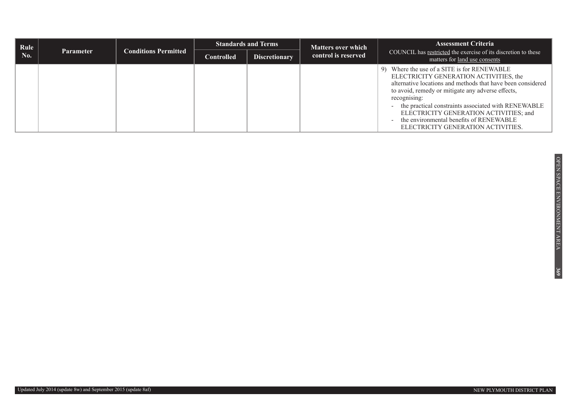| Rule |                  | <b>Conditions Permitted</b> | <b>Standards and Terms</b> |                      | <b>Matters over which</b> | <b>Assessment Criteria</b>                                                                                                                                                                                                                                                                                                                                                                                     |
|------|------------------|-----------------------------|----------------------------|----------------------|---------------------------|----------------------------------------------------------------------------------------------------------------------------------------------------------------------------------------------------------------------------------------------------------------------------------------------------------------------------------------------------------------------------------------------------------------|
| No.  | <b>Parameter</b> |                             | <b>Controlled</b>          | <b>Discretionary</b> | control is reserved       | COUNCIL has restricted the exercise of its discretion to these<br>matters for land use consents                                                                                                                                                                                                                                                                                                                |
|      |                  |                             |                            |                      |                           | Where the use of a SITE is for RENEWABLE<br>9)<br>ELECTRICITY GENERATION ACTIVITIES, the<br>alternative locations and methods that have been considered<br>to avoid, remedy or mitigate any adverse effects,<br>recognising:<br>the practical constraints associated with RENEWABLE<br>ELECTRICITY GENERATION ACTIVITIES; and<br>the environmental benefits of RENEWABLE<br>ELECTRICITY GENERATION ACTIVITIES. |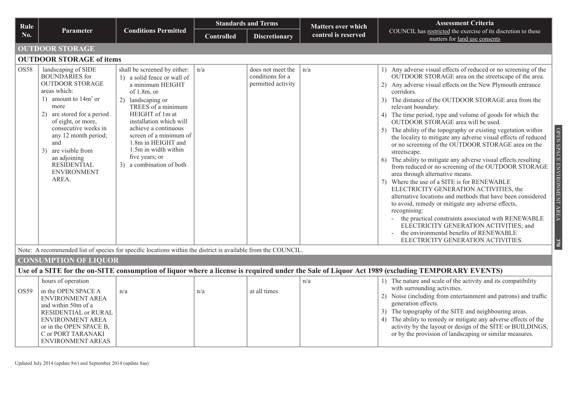| Rule |                                                                                                                                                                                                                                                                                                                                 |                                                                                                                                                                                                                                                                                                                                          |                   | <b>Standards and Terms</b>                                  | <b>Matters over which</b> | <b>Assessment Criteria</b>                                                                                                                                                                                                                                                                                                                                                                                                                                                                                                                                                                                                                                                                                                                                                                                                                                                                                                                                                                                                                                                                                                                                                                                  |  |  |  |  |  |
|------|---------------------------------------------------------------------------------------------------------------------------------------------------------------------------------------------------------------------------------------------------------------------------------------------------------------------------------|------------------------------------------------------------------------------------------------------------------------------------------------------------------------------------------------------------------------------------------------------------------------------------------------------------------------------------------|-------------------|-------------------------------------------------------------|---------------------------|-------------------------------------------------------------------------------------------------------------------------------------------------------------------------------------------------------------------------------------------------------------------------------------------------------------------------------------------------------------------------------------------------------------------------------------------------------------------------------------------------------------------------------------------------------------------------------------------------------------------------------------------------------------------------------------------------------------------------------------------------------------------------------------------------------------------------------------------------------------------------------------------------------------------------------------------------------------------------------------------------------------------------------------------------------------------------------------------------------------------------------------------------------------------------------------------------------------|--|--|--|--|--|
| No.  | <b>Parameter</b>                                                                                                                                                                                                                                                                                                                | <b>Conditions Permitted</b>                                                                                                                                                                                                                                                                                                              | <b>Controlled</b> | <b>Discretionary</b>                                        | control is reserved       | COUNCIL has restricted the exercise of its discretion to these<br>matters for land use consents                                                                                                                                                                                                                                                                                                                                                                                                                                                                                                                                                                                                                                                                                                                                                                                                                                                                                                                                                                                                                                                                                                             |  |  |  |  |  |
|      | <b>OUTDOOR STORAGE</b>                                                                                                                                                                                                                                                                                                          |                                                                                                                                                                                                                                                                                                                                          |                   |                                                             |                           |                                                                                                                                                                                                                                                                                                                                                                                                                                                                                                                                                                                                                                                                                                                                                                                                                                                                                                                                                                                                                                                                                                                                                                                                             |  |  |  |  |  |
|      | <b>OUTDOOR STORAGE of items</b>                                                                                                                                                                                                                                                                                                 |                                                                                                                                                                                                                                                                                                                                          |                   |                                                             |                           |                                                                                                                                                                                                                                                                                                                                                                                                                                                                                                                                                                                                                                                                                                                                                                                                                                                                                                                                                                                                                                                                                                                                                                                                             |  |  |  |  |  |
| OS58 | landscaping of SIDE<br><b>BOUNDARIES</b> for<br><b>OUTDOOR STORAGE</b><br>areas which:<br>1) amount to $14m3$ or<br>more<br>2) are stored for a period<br>of eight, or more,<br>consecutive weeks in<br>any 12 month period;<br>and<br>3) are visible from<br>an adjoining<br><b>RESIDENTIAL</b><br><b>ENVIRONMENT</b><br>AREA. | shall be screened by either:<br>1) a solid fence or wall of<br>a minimum HEIGHT<br>of $1.8m$ , or<br>2) landscaping or<br>TREES of a minimum<br>HEIGHT of 1m at<br>installation which will<br>achieve a continuous<br>screen of a minimum of<br>1.8m in HEIGHT and<br>1.5m in width within<br>five years; or<br>3) a combination of both | n/a               | does not meet the<br>conditions for a<br>permitted activity | n/a                       | 1) Any adverse visual effects of reduced or no screening of the<br>OUTDOOR STORAGE area on the streetscape of the area.<br>2) Any adverse visual effects on the New Plymouth entrance<br>corridors.<br>3) The distance of the OUTDOOR STORAGE area from the<br>relevant boundary.<br>4) The time period, type and volume of goods for which the<br>OUTDOOR STORAGE area will be used.<br>OPEN SPACE ENVIRONMENT AREA<br>5) The ability of the topography or existing vegetation within<br>the locality to mitigate any adverse visual effects of reduced<br>or no screening of the OUTDOOR STORAGE area on the<br>streetscape.<br>The ability to mitigate any adverse visual effects resulting<br>from reduced or no screening of the OUTDOOR STORAGE<br>area through alternative means.<br>Where the use of a SITE is for RENEWABLE<br>ELECTRICITY GENERATION ACTIVITIES, the<br>alternative locations and methods that have been considered<br>to avoid, remedy or mitigate any adverse effects,<br>recognising:<br>the practical constraints associated with RENEWABLE<br>ELECTRICITY GENERATION ACTIVITIES; and<br>the environmental benefits of RENEWABLE<br>ELECTRICITY GENERATION ACTIVITIES.<br>370 |  |  |  |  |  |
|      |                                                                                                                                                                                                                                                                                                                                 | Note: A recommended list of species for specific locations within the district is available from the COUNCIL.                                                                                                                                                                                                                            |                   |                                                             |                           |                                                                                                                                                                                                                                                                                                                                                                                                                                                                                                                                                                                                                                                                                                                                                                                                                                                                                                                                                                                                                                                                                                                                                                                                             |  |  |  |  |  |
|      | <b>CONSUMPTION OF LIQUOR</b>                                                                                                                                                                                                                                                                                                    |                                                                                                                                                                                                                                                                                                                                          |                   |                                                             |                           | Use of a SITE for the on-SITE consumption of liquor where a license is required under the Sale of Liquor Act 1989 (excluding TEMPORARY EVENTS)                                                                                                                                                                                                                                                                                                                                                                                                                                                                                                                                                                                                                                                                                                                                                                                                                                                                                                                                                                                                                                                              |  |  |  |  |  |
|      |                                                                                                                                                                                                                                                                                                                                 |                                                                                                                                                                                                                                                                                                                                          |                   |                                                             |                           |                                                                                                                                                                                                                                                                                                                                                                                                                                                                                                                                                                                                                                                                                                                                                                                                                                                                                                                                                                                                                                                                                                                                                                                                             |  |  |  |  |  |
| OS59 | hours of operation<br>in the OPEN SPACE A<br>ENVIRONMENT AREA<br>and within 50m of a                                                                                                                                                                                                                                            | n/a                                                                                                                                                                                                                                                                                                                                      | n/a               | at all times                                                | n/a                       | 1) The nature and scale of the activity and its compatibility<br>with surrounding activities.<br>Noise (including from entertainment and patrons) and traffic<br>generation effects.                                                                                                                                                                                                                                                                                                                                                                                                                                                                                                                                                                                                                                                                                                                                                                                                                                                                                                                                                                                                                        |  |  |  |  |  |

3) The topography of the SITE and neighbouring areas. 4) The ability to remedy or mitigate any adverse effects of the activity by the layout or design of the SITE or BUILDINGS, or by the provision of landscaping or similar measures. RESIDENTIAL or RURAL ENVIRONMENT AREA or in the OPEN SPACE B, C or PORT TARANAKI ENVIRONMENT AREAS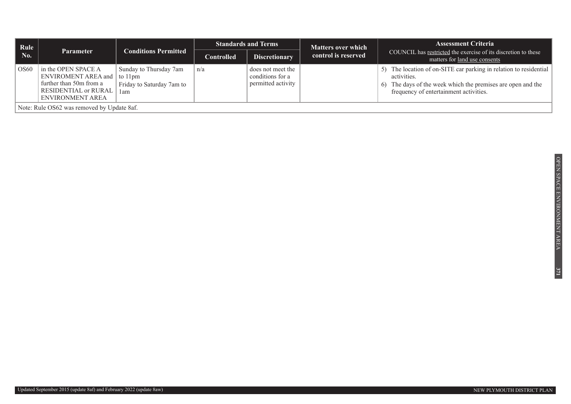| Rule             |                                                                                                                           | <b>Conditions Permitted</b>                                | <b>Standards and Terms</b> |                                                             | <b>Matters over which</b> | <b>Assessment Criteria</b>                                                                                                                                                                                 |
|------------------|---------------------------------------------------------------------------------------------------------------------------|------------------------------------------------------------|----------------------------|-------------------------------------------------------------|---------------------------|------------------------------------------------------------------------------------------------------------------------------------------------------------------------------------------------------------|
| No.              | <b>Parameter</b>                                                                                                          |                                                            | <b>Controlled</b>          | <b>Discretionary</b>                                        | control is reserved       | COUNCIL has restricted the exercise of its discretion to these<br>matters for land use consents                                                                                                            |
| OS <sub>60</sub> | in the OPEN SPACE A<br>ENVIROMENT AREA and to 11pm<br>further than 50m from a<br>RESIDENTIAL or RURAL<br>ENVIRONMENT AREA | Sunday to Thursday 7am<br>Friday to Saturday 7am to<br>1am | n/a                        | does not meet the<br>conditions for a<br>permitted activity |                           | The location of on-SITE car parking in relation to residential<br>5)<br>activities.<br>The days of the week which the premises are open and the<br><sup>6)</sup><br>frequency of entertainment activities. |
|                  | Note: Rule OS62 was removed by Update 8af.                                                                                |                                                            |                            |                                                             |                           |                                                                                                                                                                                                            |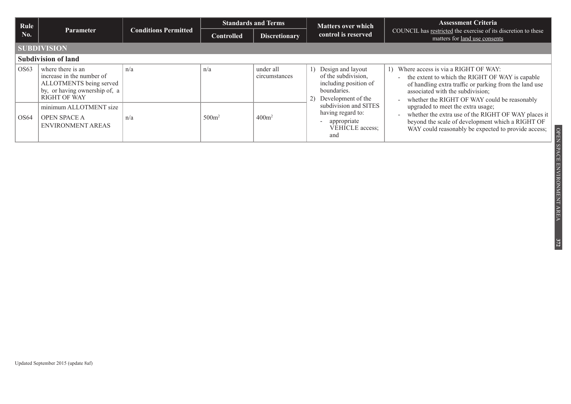| Rule             | <b>Standards and Terms</b><br><b>Conditions Permitted</b><br><b>Parameter</b><br><b>Discretionary</b><br><b>Controlled</b>        |                     |                                                                                                 |                            | <b>Matters over which</b>                                                                                          | <b>Assessment Criteria</b>                                                                                                                                                                                                              |  |  |  |  |
|------------------|-----------------------------------------------------------------------------------------------------------------------------------|---------------------|-------------------------------------------------------------------------------------------------|----------------------------|--------------------------------------------------------------------------------------------------------------------|-----------------------------------------------------------------------------------------------------------------------------------------------------------------------------------------------------------------------------------------|--|--|--|--|
| No.              |                                                                                                                                   | control is reserved | COUNCIL has restricted the exercise of its discretion to these<br>matters for land use consents |                            |                                                                                                                    |                                                                                                                                                                                                                                         |  |  |  |  |
|                  | <b>SUBDIVISION</b>                                                                                                                |                     |                                                                                                 |                            |                                                                                                                    |                                                                                                                                                                                                                                         |  |  |  |  |
|                  | <b>Subdivision of land</b>                                                                                                        |                     |                                                                                                 |                            |                                                                                                                    |                                                                                                                                                                                                                                         |  |  |  |  |
| OS <sub>63</sub> | where there is an<br>increase in the number of<br>ALLOTMENTS being served<br>by, or having ownership of, a<br><b>RIGHT OF WAY</b> | n/a                 | n/a                                                                                             | under all<br>circumstances | Design and layout<br>1)<br>of the subdivision,<br>including position of<br>boundaries.<br>2)<br>Development of the | 1) Where access is via a RIGHT OF WAY:<br>the extent to which the RIGHT OF WAY is capable<br>of handling extra traffic or parking from the land use<br>associated with the subdivision;<br>whether the RIGHT OF WAY could be reasonably |  |  |  |  |
| OS64             | minimum ALLOTMENT size<br><b>OPEN SPACE A</b><br>ENVIRONMENT AREAS                                                                | n/a                 | 500m <sup>2</sup>                                                                               | 400m <sup>2</sup>          | subdivision and SITES<br>having regard to:<br>appropriate<br>VEHICLE access;<br>and                                | upgraded to meet the extra usage;<br>whether the extra use of the RIGHT OF WAY places it<br>beyond the scale of development which a RIGHT OF<br>WAY could reasonably be expected to provide access;                                     |  |  |  |  |

Updated September 2015 (update 8af)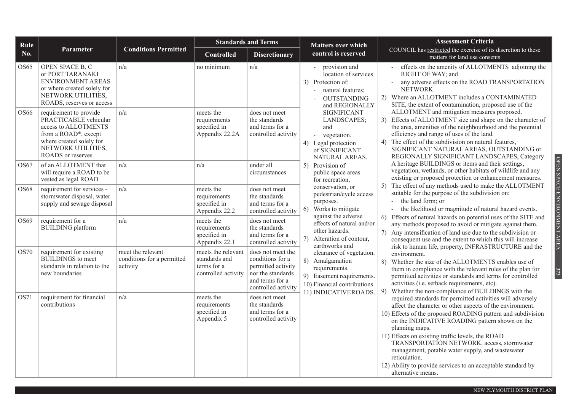| Rule             |                                                                                                                                                                               |                                                             |                                                                           | <b>Standards and Terms</b>                                                                                                 | <b>Matters over which</b>                                                                                                                         | <b>Assessment Criteria</b>                                                                                                                                                                                                                                                                                                                                                                                                                                                                                              |
|------------------|-------------------------------------------------------------------------------------------------------------------------------------------------------------------------------|-------------------------------------------------------------|---------------------------------------------------------------------------|----------------------------------------------------------------------------------------------------------------------------|---------------------------------------------------------------------------------------------------------------------------------------------------|-------------------------------------------------------------------------------------------------------------------------------------------------------------------------------------------------------------------------------------------------------------------------------------------------------------------------------------------------------------------------------------------------------------------------------------------------------------------------------------------------------------------------|
| No.              | <b>Parameter</b>                                                                                                                                                              | <b>Conditions Permitted</b>                                 | Controlled                                                                | <b>Discretionary</b>                                                                                                       | control is reserved                                                                                                                               | COUNCIL has restricted the exercise of its discretion to these<br>matters for land use consents                                                                                                                                                                                                                                                                                                                                                                                                                         |
| OS65             | OPEN SPACE B, C<br>or PORT TARANAKI<br>ENVIRONMENT AREAS<br>or where created solely for<br>NETWORK UTILITIES,<br>ROADS, reserves or access                                    | n/a                                                         | no minimum                                                                | n/a                                                                                                                        | provision and<br>location of services<br>3) Protection of:<br>natural features;<br><b>OUTSTANDING</b><br>and REGIONALLY                           | effects on the amenity of ALLOTMENTS adjoining the<br>RIGHT OF WAY; and<br>any adverse effects on the ROAD TRANSPORTATION<br>NETWORK.<br>2) Where an ALLOTMENT includes a CONTAMINATED<br>SITE, the extent of contamination, proposed use of the                                                                                                                                                                                                                                                                        |
| OS <sub>66</sub> | requirement to provide<br>PRACTICABLE vehicular<br>access to ALLOTMENTS<br>from a ROAD*, except<br>where created solely for<br>NETWORK UTILITIES,<br><b>ROADS</b> or reserves | n/a                                                         | meets the<br>requirements<br>specified in<br>Appendix 22.2A               | does not meet<br>the standards<br>and terms for a<br>controlled activity                                                   | <b>SIGNIFICANT</b><br>LANDSCAPES;<br>and<br>vegetation.<br>4) Legal protection<br>of SIGNIFICANT<br>NATURAL AREAS.                                | ALLOTMENT and mitigation measures proposed.<br>3) Effects of ALLOTMENT size and shape on the character of<br>the area, amenities of the neighbourhood and the potential<br>efficiency and range of uses of the land.<br>The effect of the subdivision on natural features,<br>4)<br>SIGNIFICANT NATURAL AREAS, OUTSTANDING or<br>REGIONALLY SIGNIFICANT LANDSCAPES, Category                                                                                                                                            |
| OS <sub>67</sub> | of an ALLOTMENT that<br>will require a ROAD to be<br>vested as legal ROAD                                                                                                     | n/a                                                         | n/a                                                                       | under all<br>circumstances                                                                                                 | 5) Provision of<br>public space areas<br>for recreation,                                                                                          | A heritage BUILDINGS or items and their settings,<br>vegetation, wetlands, or other habitats of wildlife and any<br>existing or proposed protection or enhancement measures.                                                                                                                                                                                                                                                                                                                                            |
| <b>OS68</b>      | requirement for services -<br>stormwater disposal, water<br>supply and sewage disposal                                                                                        | $\mathrm{n}/\mathrm{a}$                                     | meets the<br>requirements<br>specified in<br>Appendix 22.2                | does not meet<br>the standards<br>and terms for a<br>controlled activity                                                   | conservation, or<br>pedestrian/cycle access<br>purposes.<br>Works to mitigate<br>6)                                                               | The effect of any methods used to make the ALLOTMENT<br>5)<br>suitable for the purpose of the subdivision on:<br>the land form; or<br>- the likelihood or magnitude of natural hazard events.                                                                                                                                                                                                                                                                                                                           |
| OS69             | requirement for a<br><b>BUILDING</b> platform                                                                                                                                 | n/a                                                         | meets the<br>requirements<br>specified in<br>Appendix 22.1                | does not meet<br>the standards<br>and terms for a<br>controlled activity                                                   | against the adverse<br>effects of natural and/or<br>other hazards.<br>Alteration of contour,<br>7)<br>earthworks and                              | 6) Effects of natural hazards on potential uses of the SITE and<br>any methods proposed to avoid or mitigate against them.<br>Any intensification of land use due to the subdivision or<br>(7)<br>consequent use and the extent to which this will increase<br>risk to human life, property, INFRASTRUCTURE and the                                                                                                                                                                                                     |
| OS70             | requirement for existing<br><b>BUILDINGS</b> to meet<br>standards in relation to the<br>new boundaries                                                                        | meet the relevant<br>conditions for a permitted<br>activity | meets the relevant<br>standards and<br>terms for a<br>controlled activity | does not meet the<br>conditions for a<br>permitted activity<br>nor the standards<br>and terms for a<br>controlled activity | clearance of vegetation.<br>8) Amalgamation<br>requirements.<br>9) Easement requirements.<br>10) Financial contributions.<br>11) INDICATIVEROADS. | environment.<br>8)<br>Whether the size of the ALLOTMENTS enables use of<br>them in compliance with the relevant rules of the plan for<br>permitted activities or standards and terms for controlled<br>activities (i.e. setback requirements, etc).<br>Whether the non-compliance of BUILDINGS with the<br>9)                                                                                                                                                                                                           |
| OS71             | requirement for financial<br>contributions                                                                                                                                    | n/a                                                         | meets the<br>requirements<br>specified in<br>Appendix 5                   | does not meet<br>the standards<br>and terms for a<br>controlled activity                                                   |                                                                                                                                                   | required standards for permitted activities will adversely<br>affect the character or other aspects of the environment.<br>10) Effects of the proposed ROADING pattern and subdivision<br>on the INDICATIVE ROADING pattern shown on the<br>planning maps.<br>11) Effects on existing traffic levels, the ROAD<br>TRANSPORTATION NETWORK, access, stormwater<br>management, potable water supply, and wastewater<br>reticulation.<br>12) Ability to provide services to an acceptable standard by<br>alternative means. |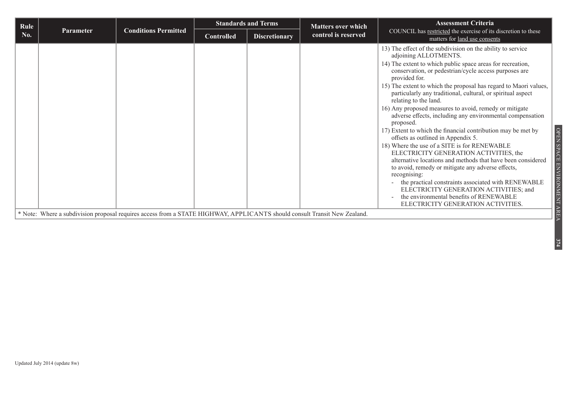| Rule |           |                                                                                                                           |                   | <b>Standards and Terms</b> | <b>Matters over which</b> | <b>Assessment Criteria</b>                                                                                                                                                                                                                                                                                                                                                                                                                                                                                                                                                                                                                                                                                                                                                                                                                                                                                                                                                                                                                                                           |
|------|-----------|---------------------------------------------------------------------------------------------------------------------------|-------------------|----------------------------|---------------------------|--------------------------------------------------------------------------------------------------------------------------------------------------------------------------------------------------------------------------------------------------------------------------------------------------------------------------------------------------------------------------------------------------------------------------------------------------------------------------------------------------------------------------------------------------------------------------------------------------------------------------------------------------------------------------------------------------------------------------------------------------------------------------------------------------------------------------------------------------------------------------------------------------------------------------------------------------------------------------------------------------------------------------------------------------------------------------------------|
| No.  | Parameter | <b>Conditions Permitted</b>                                                                                               | <b>Controlled</b> | <b>Discretionary</b>       | control is reserved       | COUNCIL has restricted the exercise of its discretion to these<br>matters for land use consents                                                                                                                                                                                                                                                                                                                                                                                                                                                                                                                                                                                                                                                                                                                                                                                                                                                                                                                                                                                      |
|      |           | * Note: Where a subdivision proposal requires access from a STATE HIGHWAY, APPLICANTS should consult Transit New Zealand. |                   |                            |                           | 13) The effect of the subdivision on the ability to service<br>adjoining ALLOTMENTS.<br>14) The extent to which public space areas for recreation,<br>conservation, or pedestrian/cycle access purposes are<br>provided for.<br>15) The extent to which the proposal has regard to Maori values,<br>particularly any traditional, cultural, or spiritual aspect<br>relating to the land.<br>16) Any proposed measures to avoid, remedy or mitigate<br>adverse effects, including any environmental compensation<br>proposed.<br>OPEN SPACE<br>17) Extent to which the financial contribution may be met by<br>offsets as outlined in Appendix 5.<br>18) Where the use of a SITE is for RENEWABLE<br>ELECTRICITY GENERATION ACTIVITIES, the<br>alternative locations and methods that have been considered<br>ENVIRONMENT AREA<br>to avoid, remedy or mitigate any adverse effects,<br>recognising:<br>the practical constraints associated with RENEWABLE<br>ELECTRICITY GENERATION ACTIVITIES; and<br>the environmental benefits of RENEWABLE<br>ELECTRICITY GENERATION ACTIVITIES. |
|      |           |                                                                                                                           |                   |                            |                           |                                                                                                                                                                                                                                                                                                                                                                                                                                                                                                                                                                                                                                                                                                                                                                                                                                                                                                                                                                                                                                                                                      |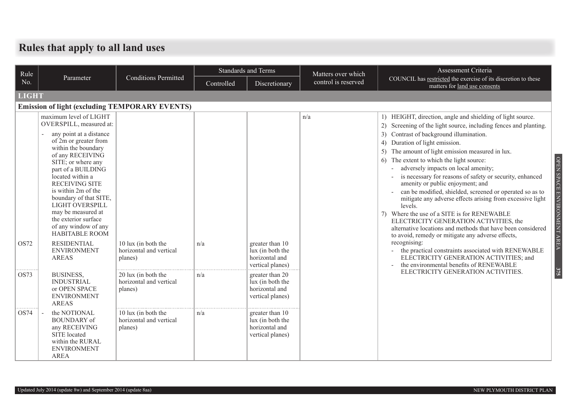### **Rules that apply to all land uses**

| Rule         |                                                                                                                                                                                                                                                                                                                                                                                                                                                   |                                                           |            | <b>Standards and Terms</b>                                                | Matters over which  | Assessment Criteria                                                                                                                                                                                                                                                                                                                                                                                                                                                                                                                                                                                                                                                                                                                                                                                                                                                                                       |
|--------------|---------------------------------------------------------------------------------------------------------------------------------------------------------------------------------------------------------------------------------------------------------------------------------------------------------------------------------------------------------------------------------------------------------------------------------------------------|-----------------------------------------------------------|------------|---------------------------------------------------------------------------|---------------------|-----------------------------------------------------------------------------------------------------------------------------------------------------------------------------------------------------------------------------------------------------------------------------------------------------------------------------------------------------------------------------------------------------------------------------------------------------------------------------------------------------------------------------------------------------------------------------------------------------------------------------------------------------------------------------------------------------------------------------------------------------------------------------------------------------------------------------------------------------------------------------------------------------------|
| No.          | Parameter                                                                                                                                                                                                                                                                                                                                                                                                                                         | <b>Conditions Permitted</b>                               | Controlled | Discretionary                                                             | control is reserved | COUNCIL has restricted the exercise of its discretion to these<br>matters for land use consents                                                                                                                                                                                                                                                                                                                                                                                                                                                                                                                                                                                                                                                                                                                                                                                                           |
| <b>LIGHT</b> |                                                                                                                                                                                                                                                                                                                                                                                                                                                   |                                                           |            |                                                                           |                     |                                                                                                                                                                                                                                                                                                                                                                                                                                                                                                                                                                                                                                                                                                                                                                                                                                                                                                           |
|              | <b>Emission of light (excluding TEMPORARY EVENTS)</b>                                                                                                                                                                                                                                                                                                                                                                                             |                                                           |            |                                                                           |                     |                                                                                                                                                                                                                                                                                                                                                                                                                                                                                                                                                                                                                                                                                                                                                                                                                                                                                                           |
| OS72         | maximum level of LIGHT<br>OVERSPILL, measured at:<br>any point at a distance<br>of 2m or greater from<br>within the boundary<br>of any RECEIVING<br>SITE; or where any<br>part of a BUILDING<br>located within a<br><b>RECEIVING SITE</b><br>is within 2m of the<br>boundary of that SITE,<br>LIGHT OVERSPILL<br>may be measured at<br>the exterior surface<br>of any window of any<br>HABITABLE ROOM<br><b>RESIDENTIAL</b><br><b>ENVIRONMENT</b> | 10 lux (in both the<br>horizontal and vertical            | n/a        | greater than 10<br>lux (in both the                                       | n/a                 | 1) HEIGHT, direction, angle and shielding of light source.<br>2) Screening of the light source, including fences and planting.<br>3) Contrast of background illumination.<br>Duration of light emission.<br>4)<br>5) The amount of light emission measured in lux.<br>OPEN SPACE ENVIRONMENT AREA<br>The extent to which the light source:<br>adversely impacts on local amenity;<br>is necessary for reasons of safety or security, enhanced<br>amenity or public enjoyment; and<br>can be modified, shielded, screened or operated so as to<br>mitigate any adverse effects arising from excessive light<br>levels.<br>7) Where the use of a SITE is for RENEWABLE<br>ELECTRICITY GENERATION ACTIVITIES, the<br>alternative locations and methods that have been considered<br>to avoid, remedy or mitigate any adverse effects,<br>recognising:<br>the practical constraints associated with RENEWABLE |
|              | <b>AREAS</b>                                                                                                                                                                                                                                                                                                                                                                                                                                      | planes)                                                   |            | horizontal and<br>vertical planes)                                        |                     | ELECTRICITY GENERATION ACTIVITIES; and<br>the environmental benefits of RENEWABLE                                                                                                                                                                                                                                                                                                                                                                                                                                                                                                                                                                                                                                                                                                                                                                                                                         |
| OS73         | <b>BUSINESS,</b><br><b>INDUSTRIAL</b><br>or OPEN SPACE<br><b>ENVIRONMENT</b><br><b>AREAS</b>                                                                                                                                                                                                                                                                                                                                                      | 20 lux (in both the<br>horizontal and vertical<br>planes) | n/a        | greater than 20<br>lux (in both the<br>horizontal and<br>vertical planes) |                     | 375<br>ELECTRICITY GENERATION ACTIVITIES.                                                                                                                                                                                                                                                                                                                                                                                                                                                                                                                                                                                                                                                                                                                                                                                                                                                                 |
| OS74         | the NOTIONAL<br><b>BOUNDARY</b> of<br>any RECEIVING<br>SITE located<br>within the RURAL<br><b>ENVIRONMENT</b><br><b>AREA</b>                                                                                                                                                                                                                                                                                                                      | 10 lux (in both the<br>horizontal and vertical<br>planes) | n/a        | greater than 10<br>lux (in both the<br>horizontal and<br>vertical planes) |                     |                                                                                                                                                                                                                                                                                                                                                                                                                                                                                                                                                                                                                                                                                                                                                                                                                                                                                                           |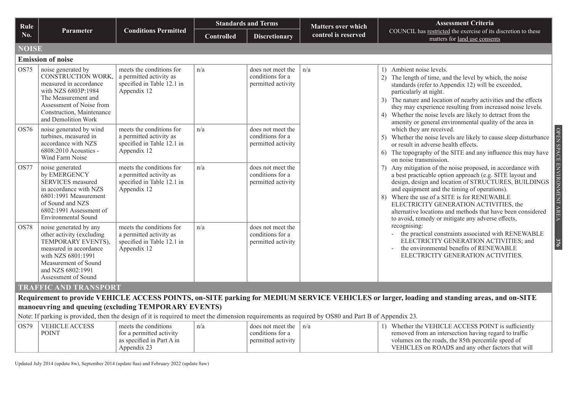| <b>Rule</b>  |                                                                                                                                                                                                  |                                                                                                  |                   | <b>Standards and Terms</b>                                  | <b>Matters over which</b> | <b>Assessment Criteria</b>                                                                                                                                                                                                                                                                                                                                                                                                                              |
|--------------|--------------------------------------------------------------------------------------------------------------------------------------------------------------------------------------------------|--------------------------------------------------------------------------------------------------|-------------------|-------------------------------------------------------------|---------------------------|---------------------------------------------------------------------------------------------------------------------------------------------------------------------------------------------------------------------------------------------------------------------------------------------------------------------------------------------------------------------------------------------------------------------------------------------------------|
| No.          | <b>Parameter</b>                                                                                                                                                                                 | <b>Conditions Permitted</b>                                                                      | <b>Controlled</b> | <b>Discretionary</b>                                        | control is reserved       | COUNCIL has restricted the exercise of its discretion to these<br>matters for land use consents                                                                                                                                                                                                                                                                                                                                                         |
| <b>NOISE</b> |                                                                                                                                                                                                  |                                                                                                  |                   |                                                             |                           |                                                                                                                                                                                                                                                                                                                                                                                                                                                         |
|              | <b>Emission of noise</b>                                                                                                                                                                         |                                                                                                  |                   |                                                             |                           |                                                                                                                                                                                                                                                                                                                                                                                                                                                         |
| OS75         | noise generated by<br>CONSTRUCTION WORK,<br>measured in accordance<br>with NZS 6803P:1984<br>The Measurement and<br>Assessment of Noise from<br>Construction, Maintenance<br>and Demolition Work | meets the conditions for<br>a permitted activity as<br>specified in Table 12.1 in<br>Appendix 12 | n/a               | does not meet the<br>conditions for a<br>permitted activity | n/a                       | 1) Ambient noise levels.<br>2) The length of time, and the level by which, the noise<br>standards (refer to Appendix 12) will be exceeded,<br>particularly at night.<br>3) The nature and location of nearby activities and the effects<br>they may experience resulting from increased noise levels.<br>4) Whether the noise levels are likely to detract from the<br>amenity or general environmental quality of the area in                          |
| OS76         | noise generated by wind<br>turbines, measured in<br>accordance with NZS<br>$6808:2010$ Acoustics -<br>Wind Farm Noise                                                                            | meets the conditions for<br>a permitted activity as<br>specified in Table 12.1 in<br>Appendix 12 | n/a               | does not meet the<br>conditions for a<br>permitted activity |                           | which they are received.<br>Whether the noise levels are likely to cause sleep disturbance<br>5)<br>or result in adverse health effects.<br>The topography of the SITE and any influence this may have<br>6)<br>on noise transmission.                                                                                                                                                                                                                  |
| <b>OS77</b>  | noise generated<br>by EMERGENCY<br>SERVICES measured<br>in accordance with NZS<br>6801:1991 Measurement<br>of Sound and NZS<br>6802:1991 Assessment of<br><b>Environmental Sound</b>             | meets the conditions for<br>a permitted activity as<br>specified in Table 12.1 in<br>Appendix 12 | n/a               | does not meet the<br>conditions for a<br>permitted activity |                           | ENVIRONMEN<br>Any mitigation of the noise proposed, in accordance with<br>a best practicable option approach (e.g. SITE layout and<br>design, design and location of STRUCTURES, BUILDINGS<br>and equipment and the timing of operations).<br>8) Where the use of a SITE is for RENEWABLE<br>ELECTRICITY GENERATION ACTIVITIES, the<br>alternative locations and methods that have been considered<br>to avoid, remedy or mitigate any adverse effects, |
| OS78         | noise generated by any<br>other activity (excluding<br>TEMPORARY EVENTS),<br>measured in accordance<br>with NZS 6801:1991<br>Measurement of Sound<br>and NZS 6802:1991<br>Assessment of Sound    | meets the conditions for<br>a permitted activity as<br>specified in Table 12.1 in<br>Appendix 12 | n/a               | does not meet the<br>conditions for a<br>permitted activity |                           | recognising:<br>- the practical constraints associated with RENEWABLE<br>ELECTRICITY GENERATION ACTIVITIES; and<br>$\frac{376}{5}$<br>the environmental benefits of RENEWABLE<br>ELECTRICITY GENERATION ACTIVITIES.                                                                                                                                                                                                                                     |
|              | <b>TRAFFIC AND TRANSPORT</b>                                                                                                                                                                     |                                                                                                  |                   |                                                             |                           |                                                                                                                                                                                                                                                                                                                                                                                                                                                         |
|              |                                                                                                                                                                                                  |                                                                                                  |                   |                                                             |                           | Requirement to provide VEHICLE ACCESS POINTS, on-SITE parking for MEDIUM SERVICE VEHICLES or larger, loading and standing areas, and on-SITE                                                                                                                                                                                                                                                                                                            |
|              | manoeuvring and queuing (excluding TEMPORARY EVENTS)                                                                                                                                             |                                                                                                  |                   |                                                             |                           |                                                                                                                                                                                                                                                                                                                                                                                                                                                         |
|              | Note: If parking is provided, then the design of it is required to meet the dimension requirements as required by OS80 and Part B of Appendix 23.                                                |                                                                                                  |                   |                                                             |                           |                                                                                                                                                                                                                                                                                                                                                                                                                                                         |
| OS79         | <b>VEHICLE ACCESS</b><br><b>POINT</b>                                                                                                                                                            | meets the conditions<br>for a permitted activity<br>as specified in Part A in                    | n/a               | does not meet the<br>conditions for a<br>permitted activity | n/a                       | 1) Whether the VEHICLE ACCESS POINT is sufficiently<br>removed from an intersection having regard to traffic<br>volumes on the roads, the 85th percentile speed of                                                                                                                                                                                                                                                                                      |

Updated July 2014 (update 8w), September 2014 (update 8aa) and February 2022 (update 8aw)

Appendix 23

VEHICLES on ROADS and any other factors that will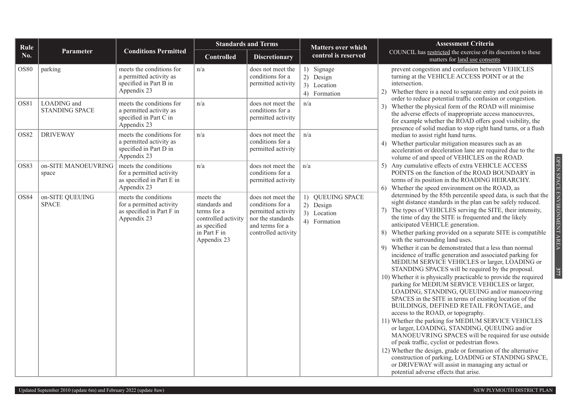| Rule        |                                      |                                                                                              |                                                                                                                 | <b>Standards and Terms</b>                                                                                                 | <b>Matters over which</b>                                    | <b>Assessment Criteria</b>                                                                                                                                                                                                                                                                                                                                                                                                                                                                                                                                                                                                                                                                                                                                                                                                                                                                                                                                                                                                                                                                                                                                                                                                                                                                                                                                                                 |
|-------------|--------------------------------------|----------------------------------------------------------------------------------------------|-----------------------------------------------------------------------------------------------------------------|----------------------------------------------------------------------------------------------------------------------------|--------------------------------------------------------------|--------------------------------------------------------------------------------------------------------------------------------------------------------------------------------------------------------------------------------------------------------------------------------------------------------------------------------------------------------------------------------------------------------------------------------------------------------------------------------------------------------------------------------------------------------------------------------------------------------------------------------------------------------------------------------------------------------------------------------------------------------------------------------------------------------------------------------------------------------------------------------------------------------------------------------------------------------------------------------------------------------------------------------------------------------------------------------------------------------------------------------------------------------------------------------------------------------------------------------------------------------------------------------------------------------------------------------------------------------------------------------------------|
| No.         | Parameter                            | <b>Conditions Permitted</b>                                                                  | <b>Controlled</b>                                                                                               | <b>Discretionary</b>                                                                                                       | control is reserved                                          | COUNCIL has restricted the exercise of its discretion to these<br>matters for land use consents                                                                                                                                                                                                                                                                                                                                                                                                                                                                                                                                                                                                                                                                                                                                                                                                                                                                                                                                                                                                                                                                                                                                                                                                                                                                                            |
| <b>OS80</b> | parking                              | meets the conditions for<br>a permitted activity as<br>specified in Part B in<br>Appendix 23 | n/a                                                                                                             | does not meet the<br>conditions for a<br>permitted activity                                                                | 1) Signage<br>2) Design<br>3) Location<br>4) Formation       | prevent congestion and confusion between VEHICLES<br>turning at the VEHICLE ACCESS POINT or at the<br>intersection.<br>Whether there is a need to separate entry and exit points in<br>2)<br>order to reduce potential traffic confusion or congestion.                                                                                                                                                                                                                                                                                                                                                                                                                                                                                                                                                                                                                                                                                                                                                                                                                                                                                                                                                                                                                                                                                                                                    |
| OS81        | LOADING and<br><b>STANDING SPACE</b> | meets the conditions for<br>a permitted activity as<br>specified in Part C in<br>Appendix 23 | n/a                                                                                                             | does not meet the<br>conditions for a<br>permitted activity                                                                | n/a                                                          | Whether the physical form of the ROAD will minimise<br>3)<br>the adverse effects of inappropriate access manoeuvres,<br>for example whether the ROAD offers good visibility, the<br>presence of solid median to stop right hand turns, or a flush                                                                                                                                                                                                                                                                                                                                                                                                                                                                                                                                                                                                                                                                                                                                                                                                                                                                                                                                                                                                                                                                                                                                          |
| <b>OS82</b> | <b>DRIVEWAY</b>                      | meets the conditions for<br>a permitted activity as<br>specified in Part D in<br>Appendix 23 | n/a                                                                                                             | does not meet the<br>conditions for a<br>permitted activity                                                                | n/a                                                          | median to assist right hand turns.<br>Whether particular mitigation measures such as an<br>4)<br>acceleration or deceleration lane are required due to the<br>volume of and speed of VEHICLES on the ROAD.                                                                                                                                                                                                                                                                                                                                                                                                                                                                                                                                                                                                                                                                                                                                                                                                                                                                                                                                                                                                                                                                                                                                                                                 |
| OS83        | on-SITE MANOEUVRING<br>space         | meets the conditions<br>for a permitted activity<br>as specified in Part E in<br>Appendix 23 | n/a                                                                                                             | does not meet the<br>conditions for a<br>permitted activity                                                                | n/a                                                          | Any cumulative effects of extra VEHICLE ACCESS<br>POINTS on the function of the ROAD BOUNDARY in<br>terms of its position in the ROADING HEIRARCHY.<br>Whether the speed environment on the ROAD, as<br>6)                                                                                                                                                                                                                                                                                                                                                                                                                                                                                                                                                                                                                                                                                                                                                                                                                                                                                                                                                                                                                                                                                                                                                                                 |
| OS84        | on-SITE QUEUING<br><b>SPACE</b>      | meets the conditions<br>for a permitted activity<br>as specified in Part F in<br>Appendix 23 | meets the<br>standards and<br>terms for a<br>controlled activity<br>as specified<br>in Part F in<br>Appendix 23 | does not meet the<br>conditions for a<br>permitted activity<br>nor the standards<br>and terms for a<br>controlled activity | 1) QUEUING SPACE<br>2) Design<br>3) Location<br>4) Formation | determined by the 85th percentile speed data, is such that the<br>sight distance standards in the plan can be safely reduced.<br>7) The types of VEHICLES serving the SITE, their intensity,<br>the time of day the SITE is frequented and the likely<br>anticipated VEHICLE generation.<br>Whether parking provided on a separate SITE is compatible<br>8)<br>with the surrounding land uses.<br>Whether it can be demonstrated that a less than normal<br>9)<br>incidence of traffic generation and associated parking for<br>MEDIUM SERVICE VEHICLES or larger, LOADING or<br>STANDING SPACES will be required by the proposal.<br>10) Whether it is physically practicable to provide the required<br>parking for MEDIUM SERVICE VEHICLES or larger,<br>LOADING, STANDING, QUEUING and/or manoeuvring<br>SPACES in the SITE in terms of existing location of the<br>BUILDINGS, DEFINED RETAIL FRONTAGE, and<br>access to the ROAD, or topography.<br>11) Whether the parking for MEDIUM SERVICE VEHICLES<br>or larger, LOADING, STANDING, QUEUING and/or<br>MANOEUVRING SPACES will be required for use outside<br>of peak traffic, cyclist or pedestrian flows.<br>12) Whether the design, grade or formation of the alternative<br>construction of parking, LOADING or STANDING SPACE,<br>or DRIVEWAY will assist in managing any actual or<br>potential adverse effects that arise. |

OPEN SPACE ENVIRONMENT AREA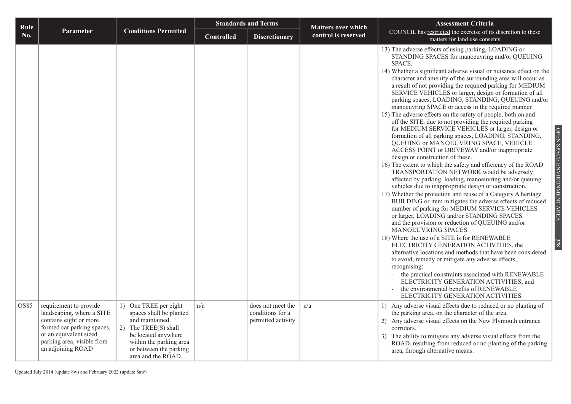| Rule |                                                                                                                                                                |                                                                                                                                                                      |                   | <b>Standards and Terms</b>             | <b>Matters over which</b> | <b>Assessment Criteria</b>                                                                                                                                                                                                                                                                                                                                                                                                                                                                                                                                                                                                                                                                                                                                                                                                                                                                                                                                                                                                                                                                                                                                                                                                                                                                                                                                                                                                                                                                                                                                                                                                                                                                                                                                                                                                                                                               |                             |
|------|----------------------------------------------------------------------------------------------------------------------------------------------------------------|----------------------------------------------------------------------------------------------------------------------------------------------------------------------|-------------------|----------------------------------------|---------------------------|------------------------------------------------------------------------------------------------------------------------------------------------------------------------------------------------------------------------------------------------------------------------------------------------------------------------------------------------------------------------------------------------------------------------------------------------------------------------------------------------------------------------------------------------------------------------------------------------------------------------------------------------------------------------------------------------------------------------------------------------------------------------------------------------------------------------------------------------------------------------------------------------------------------------------------------------------------------------------------------------------------------------------------------------------------------------------------------------------------------------------------------------------------------------------------------------------------------------------------------------------------------------------------------------------------------------------------------------------------------------------------------------------------------------------------------------------------------------------------------------------------------------------------------------------------------------------------------------------------------------------------------------------------------------------------------------------------------------------------------------------------------------------------------------------------------------------------------------------------------------------------------|-----------------------------|
| No.  | Parameter                                                                                                                                                      | <b>Conditions Permitted</b>                                                                                                                                          | <b>Controlled</b> | <b>Discretionary</b>                   | control is reserved       | COUNCIL has restricted the exercise of its discretion to these<br>matters for land use consents                                                                                                                                                                                                                                                                                                                                                                                                                                                                                                                                                                                                                                                                                                                                                                                                                                                                                                                                                                                                                                                                                                                                                                                                                                                                                                                                                                                                                                                                                                                                                                                                                                                                                                                                                                                          |                             |
| OS85 | requirement to provide                                                                                                                                         | 1) One TREE per eight                                                                                                                                                | n/a               | does not meet the                      | n/a                       | 13) The adverse effects of using parking, LOADING or<br>STANDING SPACES for manoeuvring and/or QUEUING<br>SPACE.<br>14) Whether a significant adverse visual or nuisance effect on the<br>character and amenity of the surrounding area will occur as<br>a result of not providing the required parking for MEDIUM<br>SERVICE VEHICLES or larger, design or formation of all<br>parking spaces, LOADING, STANDING, QUEUING and/or<br>manoeuvring SPACE or access in the required manner.<br>15) The adverse effects on the safety of people, both on and<br>off the SITE, due to not providing the required parking<br>for MEDIUM SERVICE VEHICLES or larger, design or<br>formation of all parking spaces, LOADING, STANDING,<br>QUEUING or MANOEUVRING SPACE, VEHICLE<br>ACCESS POINT or DRIVEWAY and/or inappropriate<br>design or construction of these.<br>16) The extent to which the safety and efficiency of the ROAD<br>TRANSPORTATION NETWORK would be adversely<br>affected by parking, loading, manoeuvring and/or queuing<br>vehicles due to inappropriate design or construction.<br>17) Whether the protection and reuse of a Category A heritage<br>BUILDING or item mitigates the adverse effects of reduced<br>number of parking for MEDIUM SERVICE VEHICLES<br>or larger, LOADING and/or STANDING SPACES<br>and the provision or reduction of QUEUING and/or<br>MANOEUVRING SPACES.<br>18) Where the use of a SITE is for RENEWABLE<br>ELECTRICITY GENERATION ACTIVITIES, the<br>alternative locations and methods that have been considered<br>to avoid, remedy or mitigate any adverse effects,<br>recognising:<br>the practical constraints associated with RENEWABLE<br>ELECTRICITY GENERATION ACTIVITIES; and<br>the environmental benefits of RENEWABLE<br>ELECTRICITY GENERATION ACTIVITIES.<br>1) Any adverse visual effects due to reduced or no planting of | OPEN SPACE ENVIRONMENT AREA |
|      | landscaping, where a SITE<br>contains eight or more<br>formed car parking spaces,<br>or an equivalent sized<br>parking area, visible from<br>an adjoining ROAD | spaces shall be planted<br>and maintained.<br>2) The TREE(S) shall<br>be located anywhere<br>within the parking area<br>or between the parking<br>area and the ROAD. |                   | conditions for a<br>permitted activity |                           | the parking area, on the character of the area.<br>2) Any adverse visual effects on the New Plymouth entrance<br>corridors.<br>3) The ability to mitigate any adverse visual effects from the<br>ROAD, resulting from reduced or no planting of the parking<br>area, through alternative means.                                                                                                                                                                                                                                                                                                                                                                                                                                                                                                                                                                                                                                                                                                                                                                                                                                                                                                                                                                                                                                                                                                                                                                                                                                                                                                                                                                                                                                                                                                                                                                                          |                             |

Updated July 2014 (update 8w) and February 2022 (update 8aw)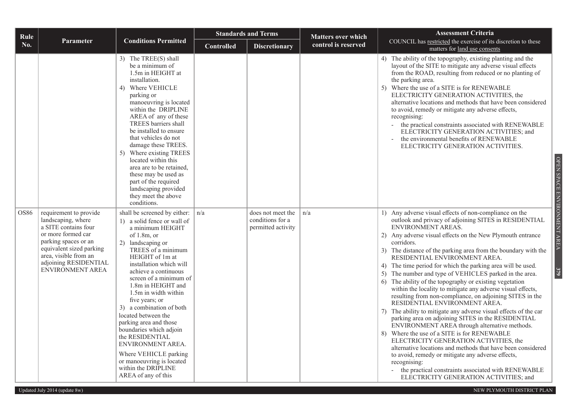| Rule |                                                                                                                                                                                                                      |                                                                                                                                                                                                                                                                                                                                                                                                                                                                                                                                                                  |                   | <b>Standards and Terms</b>                                  | <b>Matters over which</b> | <b>Assessment Criteria</b>                                                                                                                                                                                                                                                                                                                                                                                                                                                                                                                                                                                                                                                                                                                                                                                                                                                                                                                                                                                                                                                                                                                                                                 |
|------|----------------------------------------------------------------------------------------------------------------------------------------------------------------------------------------------------------------------|------------------------------------------------------------------------------------------------------------------------------------------------------------------------------------------------------------------------------------------------------------------------------------------------------------------------------------------------------------------------------------------------------------------------------------------------------------------------------------------------------------------------------------------------------------------|-------------------|-------------------------------------------------------------|---------------------------|--------------------------------------------------------------------------------------------------------------------------------------------------------------------------------------------------------------------------------------------------------------------------------------------------------------------------------------------------------------------------------------------------------------------------------------------------------------------------------------------------------------------------------------------------------------------------------------------------------------------------------------------------------------------------------------------------------------------------------------------------------------------------------------------------------------------------------------------------------------------------------------------------------------------------------------------------------------------------------------------------------------------------------------------------------------------------------------------------------------------------------------------------------------------------------------------|
| No.  | Parameter                                                                                                                                                                                                            | <b>Conditions Permitted</b>                                                                                                                                                                                                                                                                                                                                                                                                                                                                                                                                      | <b>Controlled</b> | <b>Discretionary</b>                                        | control is reserved       | COUNCIL has restricted the exercise of its discretion to these<br>matters for land use consents                                                                                                                                                                                                                                                                                                                                                                                                                                                                                                                                                                                                                                                                                                                                                                                                                                                                                                                                                                                                                                                                                            |
|      |                                                                                                                                                                                                                      | 3) The TREE(S) shall<br>be a minimum of<br>1.5m in HEIGHT at<br>installation.<br>Where VEHICLE<br>4)<br>parking or<br>manoeuvring is located<br>within the DRIPLINE<br>AREA of any of these<br>TREES barriers shall<br>be installed to ensure<br>that vehicles do not<br>damage these TREES.<br>Where existing TREES<br>5)<br>located within this<br>area are to be retained,<br>these may be used as<br>part of the required<br>landscaping provided<br>they meet the above<br>conditions.                                                                      |                   |                                                             |                           | 4) The ability of the topography, existing planting and the<br>layout of the SITE to mitigate any adverse visual effects<br>from the ROAD, resulting from reduced or no planting of<br>the parking area.<br>5) Where the use of a SITE is for RENEWABLE<br>ELECTRICITY GENERATION ACTIVITIES, the<br>alternative locations and methods that have been considered<br>to avoid, remedy or mitigate any adverse effects,<br>recognising:<br>the practical constraints associated with RENEWABLE<br>ELECTRICITY GENERATION ACTIVITIES; and<br>the environmental benefits of RENEWABLE<br>ELECTRICITY GENERATION ACTIVITIES.<br>OPEN SPACE ENVIRONMENT AREA                                                                                                                                                                                                                                                                                                                                                                                                                                                                                                                                     |
| OS86 | requirement to provide<br>landscaping, where<br>a SITE contains four<br>or more formed car<br>parking spaces or an<br>equivalent sized parking<br>area, visible from an<br>adjoining RESIDENTIAL<br>ENVIRONMENT AREA | shall be screened by either:<br>1) a solid fence or wall of<br>a minimum HEIGHT<br>of $1.8m$ , or<br>2) landscaping or<br>TREES of a minimum<br>HEIGHT of 1m at<br>installation which will<br>achieve a continuous<br>screen of a minimum of<br>1.8m in HEIGHT and<br>1.5m in width within<br>five years; or<br>3) a combination of both<br>located between the<br>parking area and those<br>boundaries which adjoin<br>the RESIDENTIAL<br>ENVIRONMENT AREA.<br>Where VEHICLE parking<br>or manoeuvring is located<br>within the DRIPLINE<br>AREA of any of this | n/a               | does not meet the<br>conditions for a<br>permitted activity | n/a                       | 1) Any adverse visual effects of non-compliance on the<br>outlook and privacy of adjoining SITES in RESIDENTIAL<br>ENVIRONMENT AREAS.<br>2) Any adverse visual effects on the New Plymouth entrance<br>corridors.<br>3) The distance of the parking area from the boundary with the<br>RESIDENTIAL ENVIRONMENT AREA.<br>4) The time period for which the parking area will be used.<br>379<br>5) The number and type of VEHICLES parked in the area.<br>6) The ability of the topography or existing vegetation<br>within the locality to mitigate any adverse visual effects,<br>resulting from non-compliance, on adjoining SITES in the<br>RESIDENTIAL ENVIRONMENT AREA.<br>The ability to mitigate any adverse visual effects of the car<br>7)<br>parking area on adjoining SITES in the RESIDENTIAL<br>ENVIRONMENT AREA through alternative methods.<br>Where the use of a SITE is for RENEWABLE<br>8)<br>ELECTRICITY GENERATION ACTIVITIES, the<br>alternative locations and methods that have been considered<br>to avoid, remedy or mitigate any adverse effects,<br>recognising:<br>the practical constraints associated with RENEWABLE<br>ELECTRICITY GENERATION ACTIVITIES; and |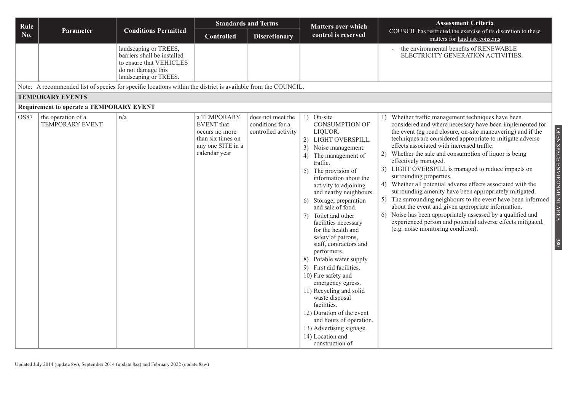| Rule        |                                                                                                               |                                                                                                                                |                                                                                                               | <b>Standards and Terms</b>                                   | <b>Matters over which</b>                                                                                                                                                                                                                                                                                                                                                                                                                                                                                                                                                                                                                                                                                                    | <b>Assessment Criteria</b>                                                                                                                                                                                                                                                                                                                                                                                                                                                                                                                                                                                                                                                                                                                                                                                                                                                                |
|-------------|---------------------------------------------------------------------------------------------------------------|--------------------------------------------------------------------------------------------------------------------------------|---------------------------------------------------------------------------------------------------------------|--------------------------------------------------------------|------------------------------------------------------------------------------------------------------------------------------------------------------------------------------------------------------------------------------------------------------------------------------------------------------------------------------------------------------------------------------------------------------------------------------------------------------------------------------------------------------------------------------------------------------------------------------------------------------------------------------------------------------------------------------------------------------------------------------|-------------------------------------------------------------------------------------------------------------------------------------------------------------------------------------------------------------------------------------------------------------------------------------------------------------------------------------------------------------------------------------------------------------------------------------------------------------------------------------------------------------------------------------------------------------------------------------------------------------------------------------------------------------------------------------------------------------------------------------------------------------------------------------------------------------------------------------------------------------------------------------------|
| No.         | Parameter                                                                                                     | <b>Conditions Permitted</b>                                                                                                    | <b>Controlled</b>                                                                                             | <b>Discretionary</b>                                         | control is reserved                                                                                                                                                                                                                                                                                                                                                                                                                                                                                                                                                                                                                                                                                                          | COUNCIL has restricted the exercise of its discretion to these<br>matters for land use consents                                                                                                                                                                                                                                                                                                                                                                                                                                                                                                                                                                                                                                                                                                                                                                                           |
|             |                                                                                                               | landscaping or TREES,<br>barriers shall be installed<br>to ensure that VEHICLES<br>do not damage this<br>landscaping or TREES. |                                                                                                               |                                                              |                                                                                                                                                                                                                                                                                                                                                                                                                                                                                                                                                                                                                                                                                                                              | the environmental benefits of RENEWABLE<br>ELECTRICITY GENERATION ACTIVITIES.                                                                                                                                                                                                                                                                                                                                                                                                                                                                                                                                                                                                                                                                                                                                                                                                             |
|             | Note: A recommended list of species for specific locations within the district is available from the COUNCIL. |                                                                                                                                |                                                                                                               |                                                              |                                                                                                                                                                                                                                                                                                                                                                                                                                                                                                                                                                                                                                                                                                                              |                                                                                                                                                                                                                                                                                                                                                                                                                                                                                                                                                                                                                                                                                                                                                                                                                                                                                           |
|             | <b>TEMPORARY EVENTS</b>                                                                                       |                                                                                                                                |                                                                                                               |                                                              |                                                                                                                                                                                                                                                                                                                                                                                                                                                                                                                                                                                                                                                                                                                              |                                                                                                                                                                                                                                                                                                                                                                                                                                                                                                                                                                                                                                                                                                                                                                                                                                                                                           |
|             | <b>Requirement to operate a TEMPORARY EVENT</b>                                                               |                                                                                                                                |                                                                                                               |                                                              |                                                                                                                                                                                                                                                                                                                                                                                                                                                                                                                                                                                                                                                                                                                              |                                                                                                                                                                                                                                                                                                                                                                                                                                                                                                                                                                                                                                                                                                                                                                                                                                                                                           |
| <b>OS87</b> | the operation of a<br><b>TEMPORARY EVENT</b>                                                                  | n/a                                                                                                                            | a TEMPORARY<br><b>EVENT</b> that<br>occurs no more<br>than six times on<br>any one SITE in a<br>calendar year | does not meet the<br>conditions for a<br>controlled activity | 1) On-site<br><b>CONSUMPTION OF</b><br>LIQUOR.<br>2) LIGHT OVERSPILL.<br>3) Noise management.<br>4) The management of<br>traffic.<br>The provision of<br>5)<br>information about the<br>activity to adjoining<br>and nearby neighbours.<br>6) Storage, preparation<br>and sale of food.<br>Toilet and other<br>7)<br>facilities necessary<br>for the health and<br>safety of patrons,<br>staff, contractors and<br>performers.<br>Potable water supply.<br>8)<br>9) First aid facilities.<br>10) Fire safety and<br>emergency egress.<br>11) Recycling and solid<br>waste disposal<br>facilities.<br>12) Duration of the event<br>and hours of operation.<br>13) Advertising signage.<br>14) Location and<br>construction of | Whether traffic management techniques have been<br>1)<br>considered and where necessary have been implemented for<br>the event (eg road closure, on-site maneuvering) and if the<br>techniques are considered appropriate to mitigate adverse<br>effects associated with increased traffic.<br>Whether the sale and consumption of liquor is being<br>2)<br>effectively managed.<br>3) LIGHT OVERSPILL is managed to reduce impacts on<br>surrounding properties.<br>Whether all potential adverse effects associated with the<br>4)<br>surrounding amenity have been appropriately mitigated.<br>The surrounding neighbours to the event have been informed<br>about the event and given appropriate information.<br>Noise has been appropriately assessed by a qualified and<br>6)<br>experienced person and potential adverse effects mitigated.<br>(e.g. noise monitoring condition). |

OPEN SPACE ENVIRONMENT AREA OPEN SPACE ENVIRONMENT AREA **380**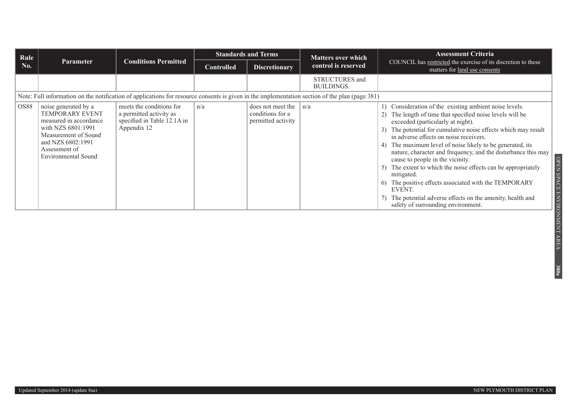| Rule |                                                                                                                                                                                            |                                                                                                   |                   | <b>Standards and Terms</b>                                  | <b>Matters over which</b>                                                                                                                      | <b>Assessment Criteria</b>                                                                                                                                                                                                                                                                                                                                                                                                                                                                                                                                                                                                                                               |
|------|--------------------------------------------------------------------------------------------------------------------------------------------------------------------------------------------|---------------------------------------------------------------------------------------------------|-------------------|-------------------------------------------------------------|------------------------------------------------------------------------------------------------------------------------------------------------|--------------------------------------------------------------------------------------------------------------------------------------------------------------------------------------------------------------------------------------------------------------------------------------------------------------------------------------------------------------------------------------------------------------------------------------------------------------------------------------------------------------------------------------------------------------------------------------------------------------------------------------------------------------------------|
| No.  | <b>Parameter</b>                                                                                                                                                                           | <b>Conditions Permitted</b>                                                                       | <b>Controlled</b> | <b>Discretionary</b>                                        | control is reserved                                                                                                                            | COUNCIL has restricted the exercise of its discretion to these<br>matters for land use consents                                                                                                                                                                                                                                                                                                                                                                                                                                                                                                                                                                          |
|      |                                                                                                                                                                                            |                                                                                                   |                   |                                                             | STRUCTURES and<br><b>BUILDINGS.</b>                                                                                                            |                                                                                                                                                                                                                                                                                                                                                                                                                                                                                                                                                                                                                                                                          |
|      |                                                                                                                                                                                            |                                                                                                   |                   |                                                             | Note: Full information on the notification of applications for resource consents is given in the implementation section of the plan (page 381) |                                                                                                                                                                                                                                                                                                                                                                                                                                                                                                                                                                                                                                                                          |
| OS88 | noise generated by a<br><b>TEMPORARY EVENT</b><br>measured in accordance<br>with NZS 6801:1991<br>Measurement of Sound<br>and NZS 6802:1991<br>Assessment of<br><b>Environmental Sound</b> | meets the conditions for<br>a permitted activity as<br>specified in Table 12.1A in<br>Appendix 12 | n/a               | does not meet the<br>conditions for a<br>permitted activity | n/a                                                                                                                                            | Consideration of the existing ambient noise levels.<br>The length of time that specified noise levels will be<br>exceeded (particularly at night).<br>The potential for cumulative noise effects which may result<br>in adverse effects on noise receivers.<br>The maximum level of noise likely to be generated, its<br>nature, character and frequency, and the disturbance this may<br>cause to people in the vicinity.<br>The extent to which the noise effects can be appropriately<br>mitigated.<br>The positive effects associated with the TEMPORARY<br>EVENT.<br>The potential adverse effects on the amenity, health and<br>safety of surrounding environment. |

**380a**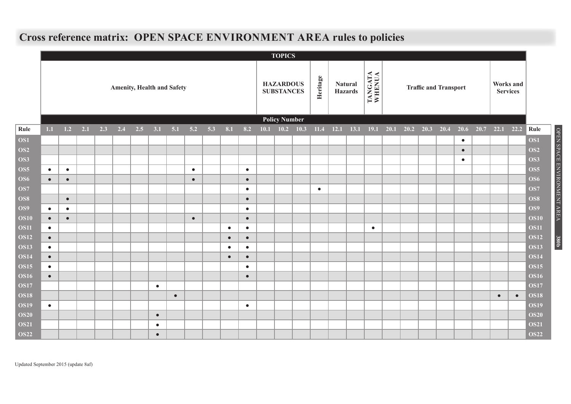|                            |           |           |     |     |                                   |     |           |           |           |     |           |           | <b>TOPICS</b>                         |           |                                  |                   |  |                              |           |                              |           |                            |
|----------------------------|-----------|-----------|-----|-----|-----------------------------------|-----|-----------|-----------|-----------|-----|-----------|-----------|---------------------------------------|-----------|----------------------------------|-------------------|--|------------------------------|-----------|------------------------------|-----------|----------------------------|
|                            |           |           |     |     | <b>Amenity, Health and Safety</b> |     |           |           |           |     |           |           | <b>HAZARDOUS</b><br><b>SUBSTANCES</b> | Heritage  | <b>Natural</b><br><b>Hazards</b> | TANGATA<br>WHENUA |  | <b>Traffic and Transport</b> |           | Works and<br><b>Services</b> |           |                            |
|                            |           |           |     |     |                                   |     |           |           |           |     |           |           | <b>Policy Number</b>                  |           |                                  |                   |  |                              |           |                              |           |                            |
| Rule                       | 1.1       | 1.2       | 2.1 | 2.3 | 2.4                               | 2.5 | 3.1       | 5.1       | 5.2       | 5.3 | 8.1       | 8.2       | $10.1$ $10.2$ $10.3$                  | 11.4      | 12.1 13.1 19.1 20.1              |                   |  | $20.2$ $20.3$ $20.4$         | 20.6      | $20.7$ 22.1 22.2             |           | Rule                       |
| OS1                        |           |           |     |     |                                   |     |           |           |           |     |           |           |                                       |           |                                  |                   |  |                              | $\bullet$ |                              |           | OS1                        |
| OS2                        |           |           |     |     |                                   |     |           |           |           |     |           |           |                                       |           |                                  |                   |  |                              | $\bullet$ |                              |           | OS <sub>2</sub>            |
| OS3                        |           |           |     |     |                                   |     |           |           |           |     |           |           |                                       |           |                                  |                   |  |                              | $\bullet$ |                              |           | OS3                        |
| <b>OS5</b>                 | $\bullet$ | $\bullet$ |     |     |                                   |     |           |           | $\bullet$ |     |           | $\bullet$ |                                       |           |                                  |                   |  |                              |           |                              |           | <b>OS5</b>                 |
| <b>OS6</b>                 | $\bullet$ | $\bullet$ |     |     |                                   |     |           |           | $\bullet$ |     |           | $\bullet$ |                                       |           |                                  |                   |  |                              |           |                              |           | <b>OS6</b>                 |
| OS7                        |           |           |     |     |                                   |     |           |           |           |     |           |           |                                       | $\bullet$ |                                  |                   |  |                              |           |                              |           | <b>OS7</b>                 |
| OS8                        |           | $\bullet$ |     |     |                                   |     |           |           |           |     |           | $\bullet$ |                                       |           |                                  |                   |  |                              |           |                              |           | OS8                        |
| OS9                        | $\bullet$ | $\bullet$ |     |     |                                   |     |           |           |           |     |           | $\bullet$ |                                       |           |                                  |                   |  |                              |           |                              |           | OS9                        |
| <b>OS10</b>                | $\bullet$ | $\bullet$ |     |     |                                   |     |           |           | $\bullet$ |     |           | $\bullet$ |                                       |           |                                  |                   |  |                              |           |                              |           | <b>OS10</b>                |
| <b>OS11</b>                | $\bullet$ |           |     |     |                                   |     |           |           |           |     | $\bullet$ | $\bullet$ |                                       |           |                                  | $\bullet$         |  |                              |           |                              |           | <b>OS11</b>                |
| <b>OS12</b>                | $\bullet$ |           |     |     |                                   |     |           |           |           |     | $\bullet$ | $\bullet$ |                                       |           |                                  |                   |  |                              |           |                              |           | <b>OS12</b>                |
| <b>OS13</b>                | $\bullet$ |           |     |     |                                   |     |           |           |           |     | $\bullet$ | $\bullet$ |                                       |           |                                  |                   |  |                              |           |                              |           | <b>OS13</b>                |
| <b>OS14</b>                | $\bullet$ |           |     |     |                                   |     |           |           |           |     | $\bullet$ | $\bullet$ |                                       |           |                                  |                   |  |                              |           |                              |           | <b>OS14</b>                |
| <b>OS15</b><br><b>OS16</b> | $\bullet$ |           |     |     |                                   |     |           |           |           |     |           | $\bullet$ |                                       |           |                                  |                   |  |                              |           |                              |           | <b>OS15</b><br><b>OS16</b> |
| <b>OS17</b>                | $\bullet$ |           |     |     |                                   |     | $\bullet$ |           |           |     |           | $\bullet$ |                                       |           |                                  |                   |  |                              |           |                              |           | <b>OS17</b>                |
| <b>OS18</b>                |           |           |     |     |                                   |     |           | $\bullet$ |           |     |           |           |                                       |           |                                  |                   |  |                              |           | $\bullet$                    | $\bullet$ | <b>OS18</b>                |
| <b>OS19</b>                | $\bullet$ |           |     |     |                                   |     |           |           |           |     |           | $\bullet$ |                                       |           |                                  |                   |  |                              |           |                              |           | <b>OS19</b>                |
| <b>OS20</b>                |           |           |     |     |                                   |     | $\bullet$ |           |           |     |           |           |                                       |           |                                  |                   |  |                              |           |                              |           | <b>OS20</b>                |
| <b>OS21</b>                |           |           |     |     |                                   |     | $\bullet$ |           |           |     |           |           |                                       |           |                                  |                   |  |                              |           |                              |           | <b>OS21</b>                |
| <b>OS22</b>                |           |           |     |     |                                   |     | $\bullet$ |           |           |     |           |           |                                       |           |                                  |                   |  |                              |           |                              |           | <b>OS22</b>                |

OPEN SPACE ENVIRONMENT AREA

**380b**

## **Cross reference matrix: OPEN SPACE ENVIRONMENT AREA rules to policies**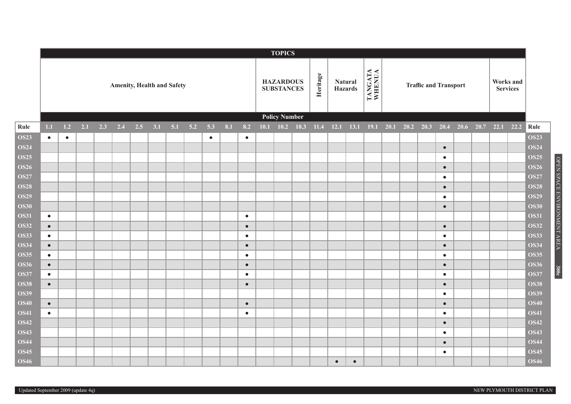|             |           |           |     |     |     |                                   |     |     |     |           |     |           |      | <b>TOPICS</b>                         |             |          |           |                           |                   |      |             |                              |           |      |      |      |                              |             |
|-------------|-----------|-----------|-----|-----|-----|-----------------------------------|-----|-----|-----|-----------|-----|-----------|------|---------------------------------------|-------------|----------|-----------|---------------------------|-------------------|------|-------------|------------------------------|-----------|------|------|------|------------------------------|-------------|
|             |           |           |     |     |     | <b>Amenity, Health and Safety</b> |     |     |     |           |     |           |      | <b>HAZARDOUS</b><br><b>SUBSTANCES</b> |             | Heritage |           | Natural<br><b>Hazards</b> | TANGATA<br>WHENUA |      |             | <b>Traffic and Transport</b> |           |      |      |      | Works and<br><b>Services</b> |             |
|             |           |           |     |     |     |                                   |     |     |     |           |     |           |      | <b>Policy Number</b>                  |             |          |           |                           |                   |      |             |                              |           |      |      |      |                              |             |
| Rule        | 1.1       | $1.2$     | 2.1 | 2.3 | 2.4 | 2.5                               | 3.1 | 5.1 | 5.2 | 5.3       | 8.1 | 8.2       | 10.1 |                                       | $10.2$ 10.3 | 11.4     | 12.1      | 13.1                      | 19.1              | 20.1 | $20.2$ 20.3 |                              | 20.4      | 20.6 | 20.7 | 22.1 | 22.2                         | Rule        |
| <b>OS23</b> | $\bullet$ | $\bullet$ |     |     |     |                                   |     |     |     | $\bullet$ |     | $\bullet$ |      |                                       |             |          |           |                           |                   |      |             |                              |           |      |      |      |                              | <b>OS23</b> |
| <b>OS24</b> |           |           |     |     |     |                                   |     |     |     |           |     |           |      |                                       |             |          |           |                           |                   |      |             |                              | $\bullet$ |      |      |      |                              | <b>OS24</b> |
| <b>OS25</b> |           |           |     |     |     |                                   |     |     |     |           |     |           |      |                                       |             |          |           |                           |                   |      |             |                              | $\bullet$ |      |      |      |                              | <b>OS25</b> |
| <b>OS26</b> |           |           |     |     |     |                                   |     |     |     |           |     |           |      |                                       |             |          |           |                           |                   |      |             |                              | $\bullet$ |      |      |      |                              | <b>OS26</b> |
| <b>OS27</b> |           |           |     |     |     |                                   |     |     |     |           |     |           |      |                                       |             |          |           |                           |                   |      |             |                              | $\bullet$ |      |      |      |                              | <b>OS27</b> |
| <b>OS28</b> |           |           |     |     |     |                                   |     |     |     |           |     |           |      |                                       |             |          |           |                           |                   |      |             |                              | $\bullet$ |      |      |      |                              | <b>OS28</b> |
| <b>OS29</b> |           |           |     |     |     |                                   |     |     |     |           |     |           |      |                                       |             |          |           |                           |                   |      |             |                              | $\bullet$ |      |      |      |                              | <b>OS29</b> |
| <b>OS30</b> |           |           |     |     |     |                                   |     |     |     |           |     |           |      |                                       |             |          |           |                           |                   |      |             |                              | $\bullet$ |      |      |      |                              | <b>OS30</b> |
| <b>OS31</b> | $\bullet$ |           |     |     |     |                                   |     |     |     |           |     | $\bullet$ |      |                                       |             |          |           |                           |                   |      |             |                              |           |      |      |      |                              | <b>OS31</b> |
| <b>OS32</b> | $\bullet$ |           |     |     |     |                                   |     |     |     |           |     | $\bullet$ |      |                                       |             |          |           |                           |                   |      |             |                              | $\bullet$ |      |      |      |                              | <b>OS32</b> |
| <b>OS33</b> | $\bullet$ |           |     |     |     |                                   |     |     |     |           |     | $\bullet$ |      |                                       |             |          |           |                           |                   |      |             |                              | $\bullet$ |      |      |      |                              | <b>OS33</b> |
| <b>OS34</b> | $\bullet$ |           |     |     |     |                                   |     |     |     |           |     | $\bullet$ |      |                                       |             |          |           |                           |                   |      |             |                              | $\bullet$ |      |      |      |                              | <b>OS34</b> |
| <b>OS35</b> | $\bullet$ |           |     |     |     |                                   |     |     |     |           |     | $\bullet$ |      |                                       |             |          |           |                           |                   |      |             |                              | $\bullet$ |      |      |      |                              | <b>OS35</b> |
| <b>OS36</b> | $\bullet$ |           |     |     |     |                                   |     |     |     |           |     | $\bullet$ |      |                                       |             |          |           |                           |                   |      |             |                              | $\bullet$ |      |      |      |                              | <b>OS36</b> |
| <b>OS37</b> | $\bullet$ |           |     |     |     |                                   |     |     |     |           |     | $\bullet$ |      |                                       |             |          |           |                           |                   |      |             |                              | $\bullet$ |      |      |      |                              | <b>OS37</b> |
| <b>OS38</b> | $\bullet$ |           |     |     |     |                                   |     |     |     |           |     | $\bullet$ |      |                                       |             |          |           |                           |                   |      |             |                              | $\bullet$ |      |      |      |                              | <b>OS38</b> |
| <b>OS39</b> |           |           |     |     |     |                                   |     |     |     |           |     |           |      |                                       |             |          |           |                           |                   |      |             |                              | $\bullet$ |      |      |      |                              | <b>OS39</b> |
| <b>OS40</b> | $\bullet$ |           |     |     |     |                                   |     |     |     |           |     | $\bullet$ |      |                                       |             |          |           |                           |                   |      |             |                              | $\bullet$ |      |      |      |                              | <b>OS40</b> |
| <b>OS41</b> | $\bullet$ |           |     |     |     |                                   |     |     |     |           |     | $\bullet$ |      |                                       |             |          |           |                           |                   |      |             |                              | $\bullet$ |      |      |      |                              | <b>OS41</b> |
| <b>OS42</b> |           |           |     |     |     |                                   |     |     |     |           |     |           |      |                                       |             |          |           |                           |                   |      |             |                              | $\bullet$ |      |      |      |                              | <b>OS42</b> |
| <b>OS43</b> |           |           |     |     |     |                                   |     |     |     |           |     |           |      |                                       |             |          |           |                           |                   |      |             |                              | $\bullet$ |      |      |      |                              | <b>OS43</b> |
| <b>OS44</b> |           |           |     |     |     |                                   |     |     |     |           |     |           |      |                                       |             |          |           |                           |                   |      |             |                              | $\bullet$ |      |      |      |                              | <b>OS44</b> |
| <b>OS45</b> |           |           |     |     |     |                                   |     |     |     |           |     |           |      |                                       |             |          |           |                           |                   |      |             |                              | $\bullet$ |      |      |      |                              | <b>OS45</b> |
| <b>OS46</b> |           |           |     |     |     |                                   |     |     |     |           |     |           |      |                                       |             |          | $\bullet$ | $\bullet$                 |                   |      |             |                              |           |      |      |      |                              | <b>OS46</b> |

Updated September 2009 (update 4q)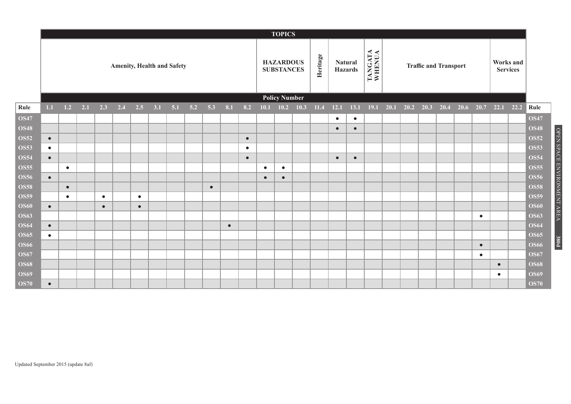|             |           |           |     |           |                                   |           |     |     |     |           |           |           |           | <b>TOPICS</b>                         |      |          |           |                                  |                   |      |      |      |                              |      |           |           |                              |             |
|-------------|-----------|-----------|-----|-----------|-----------------------------------|-----------|-----|-----|-----|-----------|-----------|-----------|-----------|---------------------------------------|------|----------|-----------|----------------------------------|-------------------|------|------|------|------------------------------|------|-----------|-----------|------------------------------|-------------|
|             |           |           |     |           | <b>Amenity, Health and Safety</b> |           |     |     |     |           |           |           |           | <b>HAZARDOUS</b><br><b>SUBSTANCES</b> |      | Heritage |           | <b>Natural</b><br><b>Hazards</b> | TANGATA<br>WHENUA |      |      |      | <b>Traffic and Transport</b> |      |           |           | Works and<br><b>Services</b> |             |
|             |           |           |     |           |                                   |           |     |     |     |           |           |           |           | <b>Policy Number</b>                  |      |          |           |                                  |                   |      |      |      |                              |      |           |           |                              |             |
| Rule        | 1.1       | 1.2       | 2.1 | 2.3       | 2.4                               | $2.5$     | 3.1 | 5.1 | 5.2 | 5.3       | 8.1       | 8.2       | 10.1      | 10.2                                  | 10.3 | 11.4     | 12.1      | 13.1                             | 19.1              | 20.1 | 20.2 | 20.3 | 20.4                         | 20.6 | 20.7      | 22.1      | 22.2                         | Rule        |
| <b>OS47</b> |           |           |     |           |                                   |           |     |     |     |           |           |           |           |                                       |      |          | $\bullet$ | $\bullet$                        |                   |      |      |      |                              |      |           |           |                              | <b>OS47</b> |
| <b>OS48</b> |           |           |     |           |                                   |           |     |     |     |           |           |           |           |                                       |      |          | $\bullet$ | $\bullet$                        |                   |      |      |      |                              |      |           |           |                              | <b>OS48</b> |
| <b>OS52</b> | $\bullet$ |           |     |           |                                   |           |     |     |     |           |           | $\bullet$ |           |                                       |      |          |           |                                  |                   |      |      |      |                              |      |           |           |                              | <b>OS52</b> |
| <b>OS53</b> | $\bullet$ |           |     |           |                                   |           |     |     |     |           |           | $\bullet$ |           |                                       |      |          |           |                                  |                   |      |      |      |                              |      |           |           |                              | <b>OS53</b> |
| <b>OS54</b> | $\bullet$ |           |     |           |                                   |           |     |     |     |           |           | $\bullet$ |           |                                       |      |          | $\bullet$ | $\bullet$                        |                   |      |      |      |                              |      |           |           |                              | <b>OS54</b> |
| <b>OS55</b> |           | $\bullet$ |     |           |                                   |           |     |     |     |           |           |           | $\bullet$ | $\bullet$                             |      |          |           |                                  |                   |      |      |      |                              |      |           |           |                              | <b>OS55</b> |
| <b>OS56</b> | $\bullet$ |           |     |           |                                   |           |     |     |     |           |           |           | $\bullet$ | $\bullet$                             |      |          |           |                                  |                   |      |      |      |                              |      |           |           |                              | <b>OS56</b> |
| <b>OS58</b> |           | $\bullet$ |     |           |                                   |           |     |     |     | $\bullet$ |           |           |           |                                       |      |          |           |                                  |                   |      |      |      |                              |      |           |           |                              | <b>OS58</b> |
| <b>OS59</b> |           | $\bullet$ |     | $\bullet$ |                                   | $\bullet$ |     |     |     |           |           |           |           |                                       |      |          |           |                                  |                   |      |      |      |                              |      |           |           |                              | <b>OS59</b> |
| <b>OS60</b> | $\bullet$ |           |     | $\bullet$ |                                   | $\bullet$ |     |     |     |           |           |           |           |                                       |      |          |           |                                  |                   |      |      |      |                              |      |           |           |                              | <b>OS60</b> |
| <b>OS63</b> |           |           |     |           |                                   |           |     |     |     |           |           |           |           |                                       |      |          |           |                                  |                   |      |      |      |                              |      | $\bullet$ |           |                              | <b>OS63</b> |
| <b>OS64</b> | $\bullet$ |           |     |           |                                   |           |     |     |     |           | $\bullet$ |           |           |                                       |      |          |           |                                  |                   |      |      |      |                              |      |           |           |                              | <b>OS64</b> |
| <b>OS65</b> | $\bullet$ |           |     |           |                                   |           |     |     |     |           |           |           |           |                                       |      |          |           |                                  |                   |      |      |      |                              |      |           |           |                              | <b>OS65</b> |
| <b>OS66</b> |           |           |     |           |                                   |           |     |     |     |           |           |           |           |                                       |      |          |           |                                  |                   |      |      |      |                              |      | $\bullet$ |           |                              | <b>OS66</b> |
| <b>OS67</b> |           |           |     |           |                                   |           |     |     |     |           |           |           |           |                                       |      |          |           |                                  |                   |      |      |      |                              |      | $\bullet$ |           |                              | <b>OS67</b> |
| <b>OS68</b> |           |           |     |           |                                   |           |     |     |     |           |           |           |           |                                       |      |          |           |                                  |                   |      |      |      |                              |      |           | $\bullet$ |                              | <b>OS68</b> |
| <b>OS69</b> |           |           |     |           |                                   |           |     |     |     |           |           |           |           |                                       |      |          |           |                                  |                   |      |      |      |                              |      |           | $\bullet$ |                              | <b>OS69</b> |
| <b>OS70</b> | $\bullet$ |           |     |           |                                   |           |     |     |     |           |           |           |           |                                       |      |          |           |                                  |                   |      |      |      |                              |      |           |           |                              | <b>OS70</b> |

OPEN SPACE ENVIRONMENT AREA

**380d**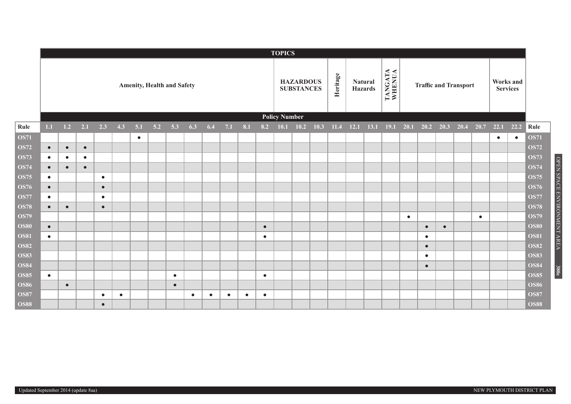|             | <b>TOPICS</b>                     |           |           |           |           |           |       |           |           |           |           |           |                                       |                      |             |          |                                  |      |                   |                              |           |           |           |      |                              |           |           |             |
|-------------|-----------------------------------|-----------|-----------|-----------|-----------|-----------|-------|-----------|-----------|-----------|-----------|-----------|---------------------------------------|----------------------|-------------|----------|----------------------------------|------|-------------------|------------------------------|-----------|-----------|-----------|------|------------------------------|-----------|-----------|-------------|
|             | <b>Amenity, Health and Safety</b> |           |           |           |           |           |       |           |           |           |           |           | <b>HAZARDOUS</b><br><b>SUBSTANCES</b> |                      |             | Heritage | <b>Natural</b><br><b>Hazards</b> |      | TANGATA<br>WHENUA | <b>Traffic and Transport</b> |           |           |           |      | Works and<br><b>Services</b> |           |           |             |
|             |                                   |           |           |           |           |           |       |           |           |           |           |           |                                       | <b>Policy Number</b> |             |          |                                  |      |                   |                              |           |           |           |      |                              |           |           |             |
| Rule        | 1.1                               | 1.2       | 2.1       | 2.3       | 4.3       | 5.1       | $5.2$ | 5.3       | 6.3       | 6.4       | 7.1       | 8.1       | 8.2                                   |                      | $10.1$ 10.2 | 10.3     | 11.4                             | 12.1 | 13.1              | <b>19.1</b>                  | 20.1      | 20.2      | 20.3      | 20.4 | 20.7                         | 22.1      | 22.2      | Rule        |
| <b>OS71</b> |                                   |           |           |           |           | $\bullet$ |       |           |           |           |           |           |                                       |                      |             |          |                                  |      |                   |                              |           |           |           |      |                              | $\bullet$ | $\bullet$ | <b>OS71</b> |
| <b>OS72</b> | $\bullet$                         | $\bullet$ | $\bullet$ |           |           |           |       |           |           |           |           |           |                                       |                      |             |          |                                  |      |                   |                              |           |           |           |      |                              |           |           | <b>OS72</b> |
| <b>OS73</b> | $\bullet$                         | $\bullet$ | $\bullet$ |           |           |           |       |           |           |           |           |           |                                       |                      |             |          |                                  |      |                   |                              |           |           |           |      |                              |           |           | <b>OS73</b> |
| <b>OS74</b> | $\bullet$                         | $\bullet$ | $\bullet$ |           |           |           |       |           |           |           |           |           |                                       |                      |             |          |                                  |      |                   |                              |           |           |           |      |                              |           |           | <b>OS74</b> |
| <b>OS75</b> | $\bullet$                         |           |           | $\bullet$ |           |           |       |           |           |           |           |           |                                       |                      |             |          |                                  |      |                   |                              |           |           |           |      |                              |           |           | <b>OS75</b> |
| <b>OS76</b> | $\bullet$                         |           |           | $\bullet$ |           |           |       |           |           |           |           |           |                                       |                      |             |          |                                  |      |                   |                              |           |           |           |      |                              |           |           | <b>OS76</b> |
| <b>OS77</b> | $\bullet$                         |           |           | $\bullet$ |           |           |       |           |           |           |           |           |                                       |                      |             |          |                                  |      |                   |                              |           |           |           |      |                              |           |           | <b>OS77</b> |
| <b>OS78</b> | $\bullet$                         | $\bullet$ |           | $\bullet$ |           |           |       |           |           |           |           |           |                                       |                      |             |          |                                  |      |                   |                              |           |           |           |      |                              |           |           | <b>OS78</b> |
| <b>OS79</b> |                                   |           |           |           |           |           |       |           |           |           |           |           |                                       |                      |             |          |                                  |      |                   |                              | $\bullet$ |           |           |      | $\bullet$                    |           |           | <b>OS79</b> |
| <b>OS80</b> | $\bullet$                         |           |           |           |           |           |       |           |           |           |           |           | $\bullet$                             |                      |             |          |                                  |      |                   |                              |           | $\bullet$ | $\bullet$ |      |                              |           |           | <b>OS80</b> |
| <b>OS81</b> | $\bullet$                         |           |           |           |           |           |       |           |           |           |           |           | $\bullet$                             |                      |             |          |                                  |      |                   |                              |           | $\bullet$ |           |      |                              |           |           | <b>OS81</b> |
| <b>OS82</b> |                                   |           |           |           |           |           |       |           |           |           |           |           |                                       |                      |             |          |                                  |      |                   |                              |           | $\bullet$ |           |      |                              |           |           | <b>OS82</b> |
| <b>OS83</b> |                                   |           |           |           |           |           |       |           |           |           |           |           |                                       |                      |             |          |                                  |      |                   |                              |           | $\bullet$ |           |      |                              |           |           | <b>OS83</b> |
| <b>OS84</b> |                                   |           |           |           |           |           |       |           |           |           |           |           |                                       |                      |             |          |                                  |      |                   |                              |           | $\bullet$ |           |      |                              |           |           | <b>OS84</b> |
| <b>OS85</b> | $\bullet$                         |           |           |           |           |           |       | $\bullet$ |           |           |           |           | $\bullet$                             |                      |             |          |                                  |      |                   |                              |           |           |           |      |                              |           |           | <b>OS85</b> |
| <b>OS86</b> |                                   | $\bullet$ |           |           |           |           |       | $\bullet$ |           |           |           |           |                                       |                      |             |          |                                  |      |                   |                              |           |           |           |      |                              |           |           | <b>OS86</b> |
| <b>OS87</b> |                                   |           |           | $\bullet$ | $\bullet$ |           |       |           | $\bullet$ | $\bullet$ | $\bullet$ | $\bullet$ | $\bullet$                             |                      |             |          |                                  |      |                   |                              |           |           |           |      |                              |           |           | <b>OS87</b> |
| <b>OS88</b> |                                   |           |           | $\bullet$ |           |           |       |           |           |           |           |           |                                       |                      |             |          |                                  |      |                   |                              |           |           |           |      |                              |           |           | <b>OS88</b> |